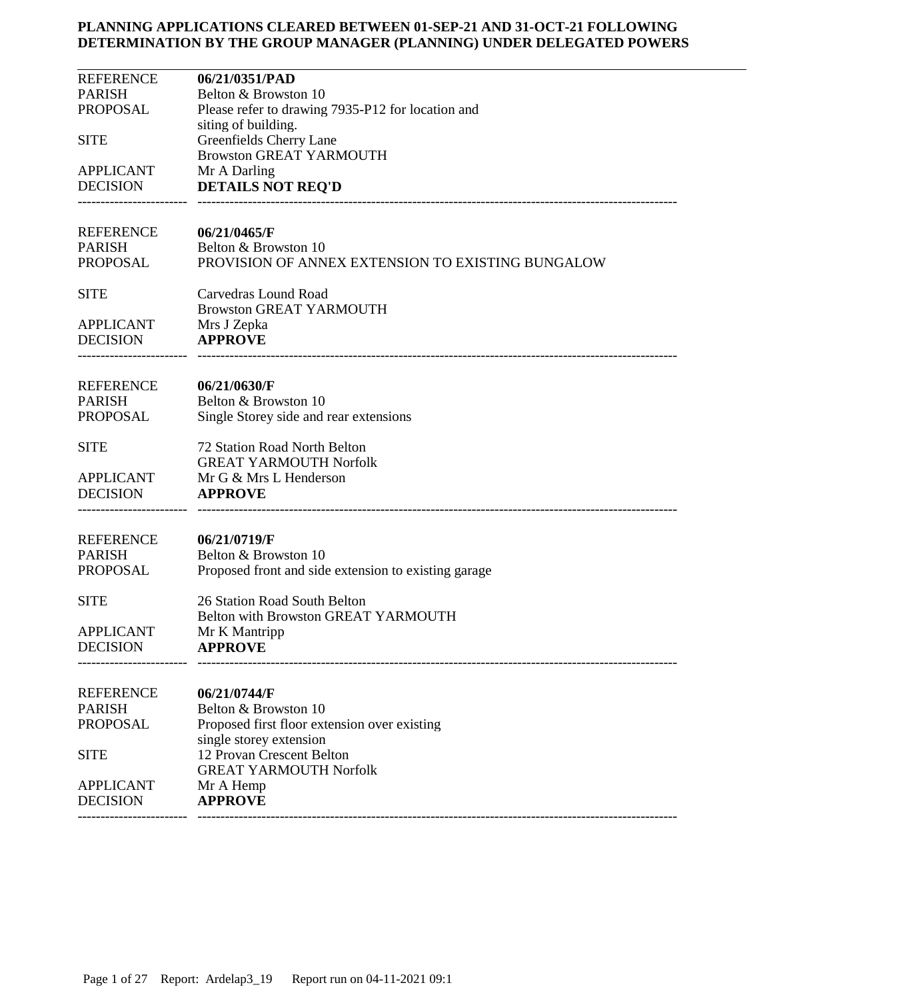| <b>REFERENCE</b> | 06/21/0351/PAD                                       |
|------------------|------------------------------------------------------|
| <b>PARISH</b>    | Belton & Browston 10                                 |
| <b>PROPOSAL</b>  | Please refer to drawing 7935-P12 for location and    |
|                  | siting of building.                                  |
| <b>SITE</b>      | Greenfields Cherry Lane                              |
|                  | <b>Browston GREAT YARMOUTH</b>                       |
| <b>APPLICANT</b> | Mr A Darling                                         |
| <b>DECISION</b>  | <b>DETAILS NOT REQ'D</b>                             |
|                  |                                                      |
| <b>REFERENCE</b> | 06/21/0465/F                                         |
| <b>PARISH</b>    | Belton & Browston 10                                 |
| <b>PROPOSAL</b>  | PROVISION OF ANNEX EXTENSION TO EXISTING BUNGALOW    |
| <b>SITE</b>      | Carvedras Lound Road                                 |
|                  | <b>Browston GREAT YARMOUTH</b>                       |
| <b>APPLICANT</b> | Mrs J Zepka                                          |
| <b>DECISION</b>  | <b>APPROVE</b>                                       |
|                  |                                                      |
| <b>REFERENCE</b> | 06/21/0630/F                                         |
| <b>PARISH</b>    | Belton & Browston 10                                 |
| <b>PROPOSAL</b>  | Single Storey side and rear extensions               |
| <b>SITE</b>      | 72 Station Road North Belton                         |
|                  | <b>GREAT YARMOUTH Norfolk</b>                        |
| <b>APPLICANT</b> | Mr G & Mrs L Henderson                               |
| <b>DECISION</b>  | <b>APPROVE</b>                                       |
|                  |                                                      |
| <b>REFERENCE</b> | 06/21/0719/F                                         |
| <b>PARISH</b>    | Belton & Browston 10                                 |
| <b>PROPOSAL</b>  | Proposed front and side extension to existing garage |
| <b>SITE</b>      | 26 Station Road South Belton                         |
|                  | Belton with Browston GREAT YARMOUTH                  |
| <b>APPLICANT</b> | Mr K Mantripp                                        |
| <b>DECISION</b>  | <b>APPROVE</b>                                       |
|                  |                                                      |
| <b>REFERENCE</b> | 06/21/0744/F                                         |
| <b>PARISH</b>    | Belton & Browston 10                                 |
| <b>PROPOSAL</b>  | Proposed first floor extension over existing         |
|                  | single storey extension                              |
| <b>SITE</b>      | 12 Provan Crescent Belton                            |
|                  | <b>GREAT YARMOUTH Norfolk</b>                        |
| <b>APPLICANT</b> | Mr A Hemp                                            |
| <b>DECISION</b>  | <b>APPROVE</b>                                       |
|                  |                                                      |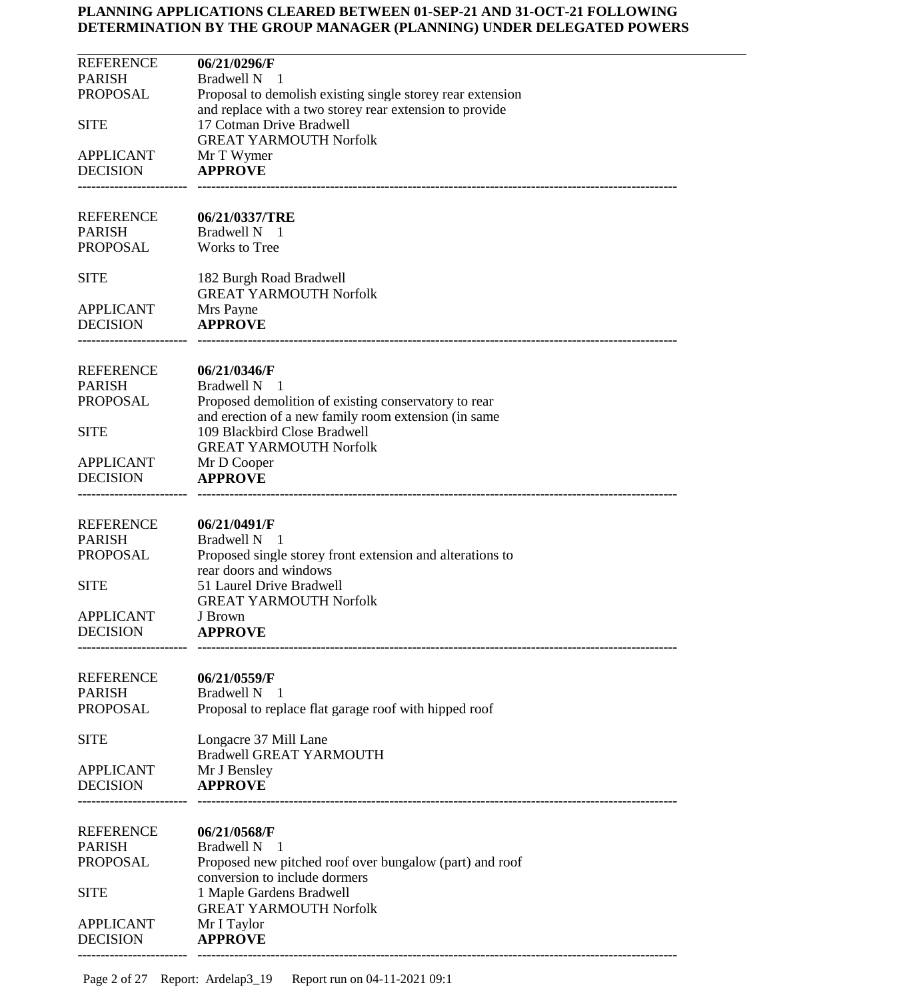| <b>REFERENCE</b>                    | 06/21/0296/F                                                                                    |
|-------------------------------------|-------------------------------------------------------------------------------------------------|
| <b>PARISH</b><br>PROPOSAL           | <b>Bradwell N</b><br>$\mathbf{I}$<br>Proposal to demolish existing single storey rear extension |
|                                     | and replace with a two storey rear extension to provide                                         |
| <b>SITE</b>                         | 17 Cotman Drive Bradwell                                                                        |
| <b>APPLICANT</b>                    | <b>GREAT YARMOUTH Norfolk</b><br>Mr T Wymer                                                     |
| <b>DECISION</b>                     | <b>APPROVE</b>                                                                                  |
|                                     |                                                                                                 |
| <b>REFERENCE</b>                    | 06/21/0337/TRE                                                                                  |
| <b>PARISH</b>                       | Bradwell N 1                                                                                    |
| PROPOSAL                            | Works to Tree                                                                                   |
| <b>SITE</b>                         | 182 Burgh Road Bradwell                                                                         |
|                                     | <b>GREAT YARMOUTH Norfolk</b>                                                                   |
| <b>APPLICANT</b><br><b>DECISION</b> | Mrs Payne<br><b>APPROVE</b>                                                                     |
|                                     |                                                                                                 |
|                                     |                                                                                                 |
| <b>REFERENCE</b><br><b>PARISH</b>   | 06/21/0346/F<br>Bradwell N<br>- 1                                                               |
| PROPOSAL                            | Proposed demolition of existing conservatory to rear                                            |
|                                     | and erection of a new family room extension (in same                                            |
| <b>SITE</b>                         | 109 Blackbird Close Bradwell<br><b>GREAT YARMOUTH Norfolk</b>                                   |
| <b>APPLICANT</b>                    | Mr D Cooper                                                                                     |
| <b>DECISION</b>                     | <b>APPROVE</b>                                                                                  |
|                                     |                                                                                                 |
| <b>REFERENCE</b>                    | 06/21/0491/F                                                                                    |
| <b>PARISH</b>                       | Bradwell N 1                                                                                    |
| PROPOSAL                            | Proposed single storey front extension and alterations to<br>rear doors and windows             |
| <b>SITE</b>                         | 51 Laurel Drive Bradwell                                                                        |
|                                     | <b>GREAT YARMOUTH Norfolk</b>                                                                   |
| <b>APPLICANT</b><br><b>DECISION</b> | J Brown<br><b>APPROVE</b>                                                                       |
|                                     |                                                                                                 |
| <b>REFERENCE</b>                    | 06/21/0559/F                                                                                    |
| <b>PARISH</b>                       | Bradwell N<br>- 1                                                                               |
| <b>PROPOSAL</b>                     | Proposal to replace flat garage roof with hipped roof                                           |
| <b>SITE</b>                         | Longacre 37 Mill Lane                                                                           |
|                                     | <b>Bradwell GREAT YARMOUTH</b>                                                                  |
| <b>APPLICANT</b>                    | Mr J Bensley                                                                                    |
| <b>DECISION</b>                     | <b>APPROVE</b>                                                                                  |
|                                     |                                                                                                 |
| <b>REFERENCE</b>                    | 06/21/0568/F                                                                                    |
| <b>PARISH</b><br><b>PROPOSAL</b>    | Bradwell N<br>- 1<br>Proposed new pitched roof over bungalow (part) and roof                    |
|                                     | conversion to include dormers                                                                   |
| <b>SITE</b>                         | 1 Maple Gardens Bradwell                                                                        |
| <b>APPLICANT</b>                    | <b>GREAT YARMOUTH Norfolk</b><br>Mr I Taylor                                                    |
| <b>DECISION</b>                     | <b>APPROVE</b>                                                                                  |
|                                     |                                                                                                 |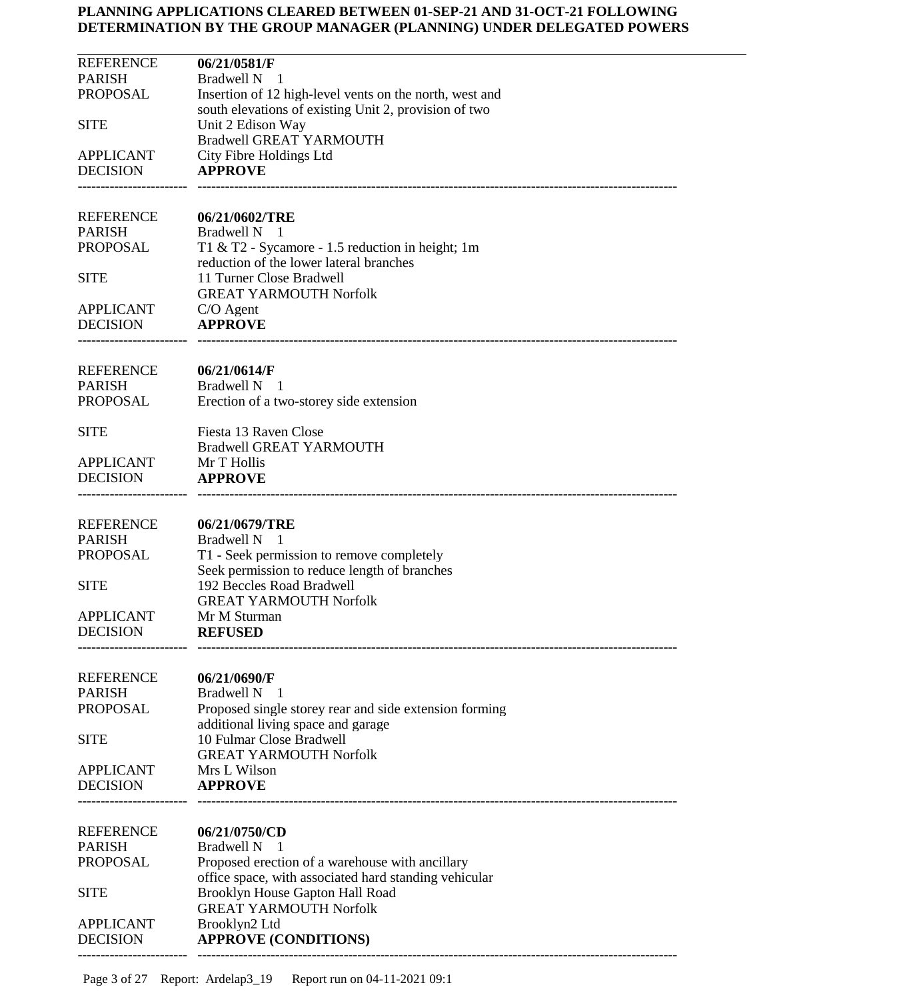| <b>REFERENCE</b> | 06/21/0581/F                                            |
|------------------|---------------------------------------------------------|
| <b>PARISH</b>    | <b>Bradwell N</b><br>- 1                                |
| <b>PROPOSAL</b>  | Insertion of 12 high-level vents on the north, west and |
|                  | south elevations of existing Unit 2, provision of two   |
|                  |                                                         |
| <b>SITE</b>      | Unit 2 Edison Way                                       |
|                  | <b>Bradwell GREAT YARMOUTH</b>                          |
| <b>APPLICANT</b> | City Fibre Holdings Ltd                                 |
| <b>DECISION</b>  | <b>APPROVE</b>                                          |
|                  |                                                         |
|                  |                                                         |
| <b>REFERENCE</b> | 06/21/0602/TRE                                          |
| <b>PARISH</b>    | Bradwell N<br>$\overline{\phantom{0}}$                  |
| <b>PROPOSAL</b>  |                                                         |
|                  | T1 & T2 - Sycamore - 1.5 reduction in height; 1m        |
|                  | reduction of the lower lateral branches                 |
| <b>SITE</b>      | 11 Turner Close Bradwell                                |
|                  | <b>GREAT YARMOUTH Norfolk</b>                           |
| <b>APPLICANT</b> | $C/O$ Agent                                             |
| <b>DECISION</b>  | <b>APPROVE</b>                                          |
|                  |                                                         |
|                  |                                                         |
| <b>REFERENCE</b> | 06/21/0614/F                                            |
| <b>PARISH</b>    | Bradwell N 1                                            |
|                  |                                                         |
| <b>PROPOSAL</b>  | Erection of a two-storey side extension                 |
| <b>SITE</b>      | Fiesta 13 Raven Close                                   |
|                  |                                                         |
|                  | <b>Bradwell GREAT YARMOUTH</b>                          |
| <b>APPLICANT</b> | Mr T Hollis                                             |
| <b>DECISION</b>  | <b>APPROVE</b>                                          |
|                  |                                                         |
|                  |                                                         |
| <b>REFERENCE</b> | 06/21/0679/TRE                                          |
| <b>PARISH</b>    | <b>Bradwell N</b><br>-1                                 |
| <b>PROPOSAL</b>  | T1 - Seek permission to remove completely               |
|                  | Seek permission to reduce length of branches            |
|                  |                                                         |
| <b>SITE</b>      | 192 Beccles Road Bradwell                               |
|                  | <b>GREAT YARMOUTH Norfolk</b>                           |
| <b>APPLICANT</b> | Mr M Sturman                                            |
| <b>DECISION</b>  | <b>REFUSED</b>                                          |
|                  |                                                         |
|                  |                                                         |
| <b>REFERENCE</b> | 06/21/0690/F                                            |
| <b>PARISH</b>    | <b>Bradwell N</b><br>- 1                                |
| <b>PROPOSAL</b>  |                                                         |
|                  | Proposed single storey rear and side extension forming  |
|                  | additional living space and garage                      |
| <b>SITE</b>      | 10 Fulmar Close Bradwell                                |
|                  | <b>GREAT YARMOUTH Norfolk</b>                           |
| <b>APPLICANT</b> | Mrs L Wilson                                            |
| <b>DECISION</b>  | <b>APPROVE</b>                                          |
|                  |                                                         |
|                  |                                                         |
| <b>REFERENCE</b> |                                                         |
|                  | 06/21/0750/CD                                           |
| <b>PARISH</b>    | <b>Bradwell N</b><br>-1                                 |
| <b>PROPOSAL</b>  | Proposed erection of a warehouse with ancillary         |
|                  | office space, with associated hard standing vehicular   |
| <b>SITE</b>      | Brooklyn House Gapton Hall Road                         |
|                  | <b>GREAT YARMOUTH Norfolk</b>                           |
|                  |                                                         |
| <b>APPLICANT</b> | Brooklyn2 Ltd                                           |
| <b>DECISION</b>  | <b>APPROVE (CONDITIONS)</b>                             |
|                  |                                                         |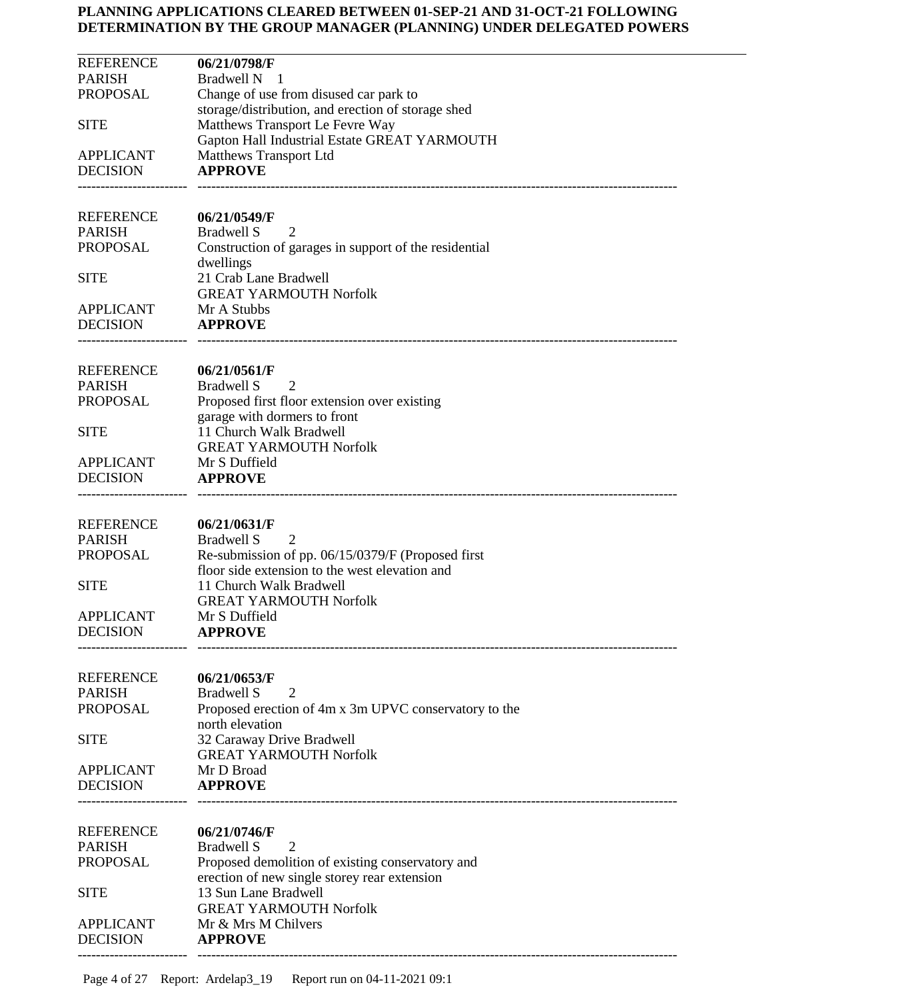| <b>REFERENCE</b><br><b>PARISH</b><br><b>PROPOSAL</b><br><b>SITE</b><br><b>APPLICANT</b><br><b>DECISION</b> | 06/21/0798/F<br><b>Bradwell N</b><br>- 1<br>Change of use from disused car park to<br>storage/distribution, and erection of storage shed<br>Matthews Transport Le Fevre Way<br>Gapton Hall Industrial Estate GREAT YARMOUTH<br>Matthews Transport Ltd<br><b>APPROVE</b> |
|------------------------------------------------------------------------------------------------------------|-------------------------------------------------------------------------------------------------------------------------------------------------------------------------------------------------------------------------------------------------------------------------|
| <b>REFERENCE</b><br><b>PARISH</b><br><b>PROPOSAL</b>                                                       | 06/21/0549/F<br><b>Bradwell S</b><br>2<br>Construction of garages in support of the residential                                                                                                                                                                         |
| <b>SITE</b>                                                                                                | dwellings<br>21 Crab Lane Bradwell<br><b>GREAT YARMOUTH Norfolk</b>                                                                                                                                                                                                     |
| <b>APPLICANT</b><br><b>DECISION</b>                                                                        | Mr A Stubbs<br><b>APPROVE</b>                                                                                                                                                                                                                                           |
| <b>REFERENCE</b><br><b>PARISH</b><br><b>PROPOSAL</b>                                                       | 06/21/0561/F<br><b>Bradwell S</b><br>2<br>Proposed first floor extension over existing<br>garage with dormers to front                                                                                                                                                  |
| <b>SITE</b>                                                                                                | 11 Church Walk Bradwell<br><b>GREAT YARMOUTH Norfolk</b>                                                                                                                                                                                                                |
| <b>APPLICANT</b><br><b>DECISION</b>                                                                        | Mr S Duffield<br><b>APPROVE</b>                                                                                                                                                                                                                                         |
| <b>REFERENCE</b><br><b>PARISH</b><br><b>PROPOSAL</b>                                                       | 06/21/0631/F<br><b>Bradwell S</b><br>2<br>Re-submission of pp. 06/15/0379/F (Proposed first                                                                                                                                                                             |
| <b>SITE</b>                                                                                                | floor side extension to the west elevation and<br>11 Church Walk Bradwell<br><b>GREAT YARMOUTH Norfolk</b>                                                                                                                                                              |
| <b>APPLICANT</b><br><b>DECISION</b>                                                                        | Mr S Duffield<br><b>APPROVE</b>                                                                                                                                                                                                                                         |
| <b>REFERENCE</b><br><b>PARISH</b><br><b>PROPOSAL</b>                                                       | 06/21/0653/F<br><b>Bradwell S</b><br>2<br>Proposed erection of 4m x 3m UPVC conservatory to the<br>north elevation                                                                                                                                                      |
| <b>SITE</b>                                                                                                | 32 Caraway Drive Bradwell<br><b>GREAT YARMOUTH Norfolk</b>                                                                                                                                                                                                              |
| <b>APPLICANT</b><br><b>DECISION</b>                                                                        | Mr D Broad<br><b>APPROVE</b>                                                                                                                                                                                                                                            |
| <b>REFERENCE</b><br><b>PARISH</b><br><b>PROPOSAL</b>                                                       | 06/21/0746/F<br><b>Bradwell S</b><br>2<br>Proposed demolition of existing conservatory and                                                                                                                                                                              |
| <b>SITE</b>                                                                                                | erection of new single storey rear extension<br>13 Sun Lane Bradwell<br><b>GREAT YARMOUTH Norfolk</b>                                                                                                                                                                   |
| <b>APPLICANT</b><br><b>DECISION</b>                                                                        | Mr & Mrs M Chilvers<br><b>APPROVE</b>                                                                                                                                                                                                                                   |
|                                                                                                            |                                                                                                                                                                                                                                                                         |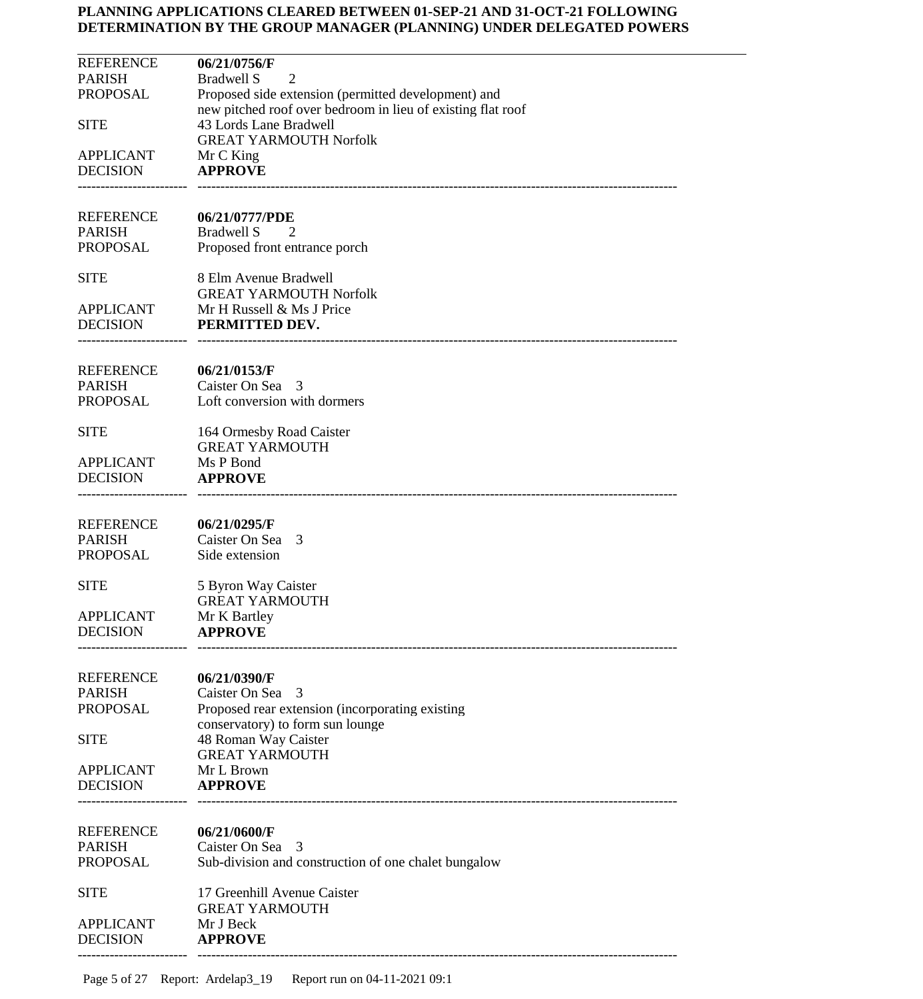| <b>REFERENCE</b><br><b>PARISH</b><br><b>PROPOSAL</b><br><b>SITE</b> | 06/21/0756/F<br>Bradwell S<br>2<br>Proposed side extension (permitted development) and<br>new pitched roof over bedroom in lieu of existing flat roof<br>43 Lords Lane Bradwell<br><b>GREAT YARMOUTH Norfolk</b> |
|---------------------------------------------------------------------|------------------------------------------------------------------------------------------------------------------------------------------------------------------------------------------------------------------|
| <b>APPLICANT</b><br><b>DECISION</b>                                 | Mr C King<br><b>APPROVE</b>                                                                                                                                                                                      |
| <b>REFERENCE</b><br><b>PARISH</b><br><b>PROPOSAL</b>                | 06/21/0777/PDE<br><b>Bradwell S</b><br>2<br>Proposed front entrance porch                                                                                                                                        |
| <b>SITE</b><br>APPLICANT<br><b>DECISION</b>                         | 8 Elm Avenue Bradwell<br><b>GREAT YARMOUTH Norfolk</b><br>Mr H Russell & Ms J Price<br>PERMITTED DEV.                                                                                                            |
| <b>REFERENCE</b><br><b>PARISH</b><br><b>PROPOSAL</b>                | 06/21/0153/F<br>Caister On Sea 3<br>Loft conversion with dormers                                                                                                                                                 |
| <b>SITE</b><br><b>APPLICANT</b><br><b>DECISION</b>                  | 164 Ormesby Road Caister<br><b>GREAT YARMOUTH</b><br>Ms P Bond<br><b>APPROVE</b>                                                                                                                                 |
| <b>REFERENCE</b><br><b>PARISH</b><br><b>PROPOSAL</b>                | 06/21/0295/F<br>Caister On Sea 3<br>Side extension                                                                                                                                                               |
| <b>SITE</b><br><b>APPLICANT</b><br><b>DECISION</b>                  | 5 Byron Way Caister<br><b>GREAT YARMOUTH</b><br>Mr K Bartley<br><b>APPROVE</b>                                                                                                                                   |
| <b>REFERENCE</b><br><b>PARISH</b><br><b>PROPOSAL</b>                | 06/21/0390/F<br>Caister On Sea<br>3<br>Proposed rear extension (incorporating existing<br>conservatory) to form sun lounge                                                                                       |
| <b>SITE</b><br><b>APPLICANT</b><br><b>DECISION</b>                  | 48 Roman Way Caister<br><b>GREAT YARMOUTH</b><br>Mr L Brown<br><b>APPROVE</b>                                                                                                                                    |
| <b>REFERENCE</b><br><b>PARISH</b><br><b>PROPOSAL</b>                | 06/21/0600/F<br>Caister On Sea 3<br>Sub-division and construction of one chalet bungalow                                                                                                                         |
| <b>SITE</b><br><b>APPLICANT</b><br><b>DECISION</b>                  | 17 Greenhill Avenue Caister<br><b>GREAT YARMOUTH</b><br>Mr J Beck<br><b>APPROVE</b>                                                                                                                              |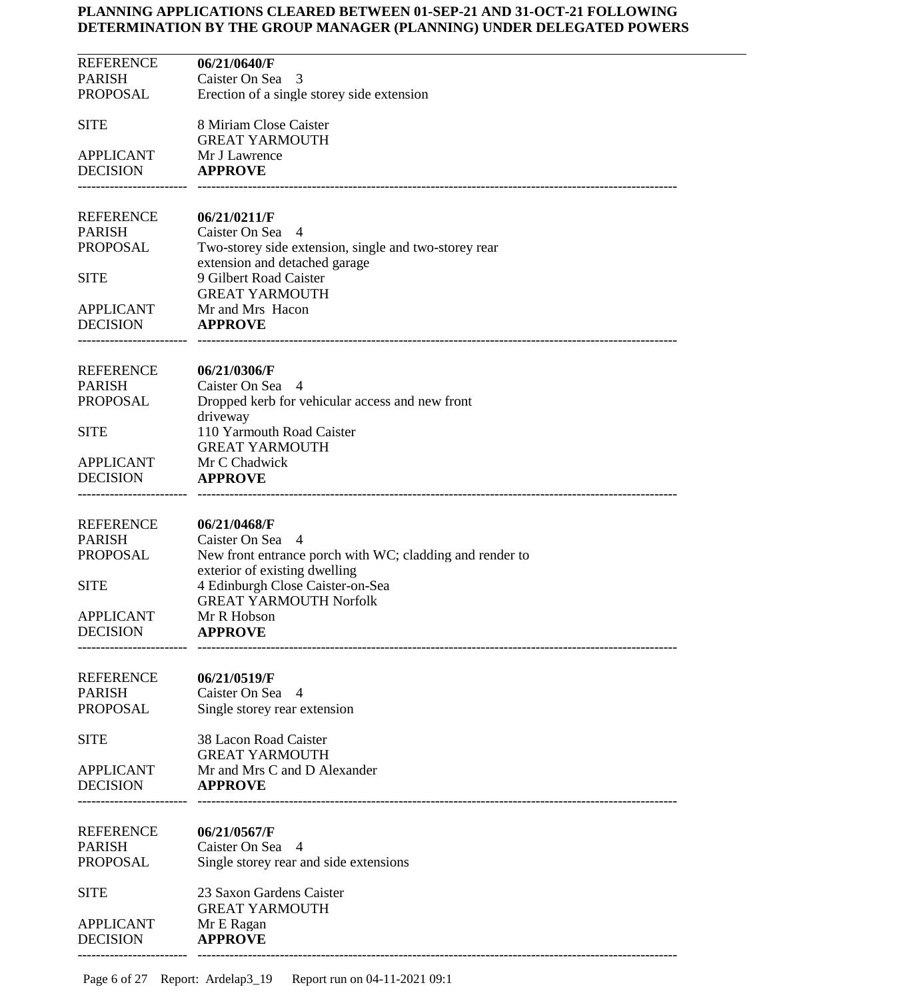| <b>REFERENCE</b>                  | 06/21/0640/F                                             |
|-----------------------------------|----------------------------------------------------------|
| <b>PARISH</b>                     | Caister On Sea<br>-3                                     |
| PROPOSAL                          | Erection of a single storey side extension               |
|                                   |                                                          |
| <b>SITE</b>                       | 8 Miriam Close Caister                                   |
|                                   | <b>GREAT YARMOUTH</b>                                    |
| <b>APPLICANT</b>                  | Mr J Lawrence                                            |
| <b>DECISION</b>                   | <b>APPROVE</b>                                           |
|                                   |                                                          |
|                                   |                                                          |
| REFERENCE                         | 06/21/0211/F                                             |
| <b>PARISH</b>                     | Caister On Sea 4                                         |
| PROPOSAL                          | Two-storey side extension, single and two-storey rear    |
|                                   | extension and detached garage                            |
| <b>SITE</b>                       | 9 Gilbert Road Caister                                   |
|                                   | <b>GREAT YARMOUTH</b>                                    |
| <b>APPLICANT</b>                  | Mr and Mrs Hacon                                         |
| <b>DECISION</b>                   | <b>APPROVE</b>                                           |
|                                   |                                                          |
|                                   |                                                          |
| REFERENCE                         | 06/21/0306/F                                             |
| <b>PARISH</b>                     | Caister On Sea 4                                         |
| PROPOSAL                          | Dropped kerb for vehicular access and new front          |
|                                   | driveway                                                 |
| <b>SITE</b>                       | 110 Yarmouth Road Caister                                |
|                                   | <b>GREAT YARMOUTH</b>                                    |
| <b>APPLICANT</b>                  | Mr C Chadwick                                            |
| <b>DECISION</b>                   | <b>APPROVE</b>                                           |
|                                   |                                                          |
|                                   |                                                          |
| REFERENCE                         | 06/21/0468/F                                             |
| <b>PARISH</b>                     | Caister On Sea 4                                         |
| PROPOSAL                          | New front entrance porch with WC; cladding and render to |
|                                   | exterior of existing dwelling                            |
| <b>SITE</b>                       | 4 Edinburgh Close Caister-on-Sea                         |
|                                   | <b>GREAT YARMOUTH Norfolk</b>                            |
| <b>APPLICANT</b>                  | Mr R Hobson                                              |
| <b>DECISION</b>                   | <b>APPROVE</b>                                           |
|                                   |                                                          |
|                                   |                                                          |
| <b>REFERENCE</b><br><b>PARISH</b> | 06/21/0519/F<br>Caister On Sea 4                         |
| <b>PROPOSAL</b>                   |                                                          |
|                                   | Single storey rear extension                             |
| <b>SITE</b>                       | 38 Lacon Road Caister                                    |
|                                   | <b>GREAT YARMOUTH</b>                                    |
| <b>APPLICANT</b>                  | Mr and Mrs C and D Alexander                             |
| <b>DECISION</b>                   | <b>APPROVE</b>                                           |
|                                   |                                                          |
|                                   |                                                          |
| <b>REFERENCE</b>                  | 06/21/0567/F                                             |
| <b>PARISH</b>                     | Caister On Sea 4                                         |
| <b>PROPOSAL</b>                   | Single storey rear and side extensions                   |
|                                   |                                                          |
| <b>SITE</b>                       | 23 Saxon Gardens Caister                                 |
|                                   | <b>GREAT YARMOUTH</b>                                    |
| <b>APPLICANT</b>                  | Mr E Ragan                                               |
| <b>DECISION</b>                   | <b>APPROVE</b>                                           |
|                                   |                                                          |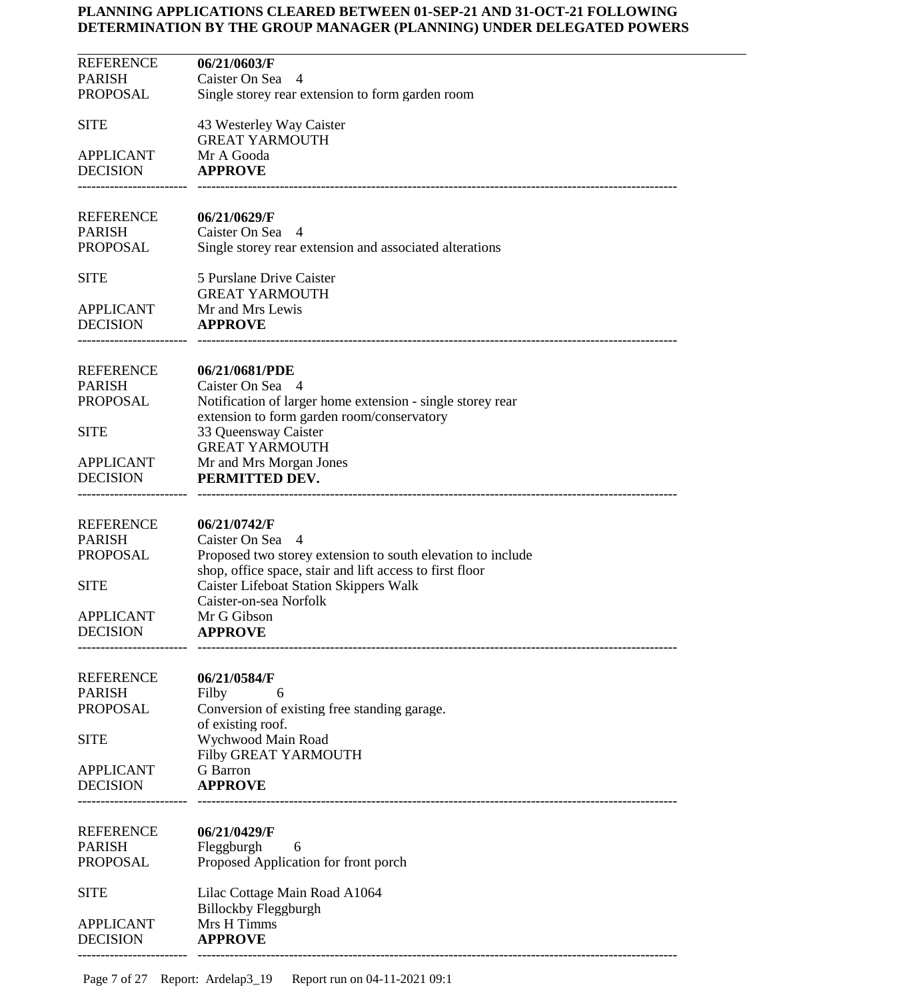| <b>REFERENCE</b>                    | 06/21/0603/F                                                                                                            |
|-------------------------------------|-------------------------------------------------------------------------------------------------------------------------|
| <b>PARISH</b>                       | Caister On Sea 4                                                                                                        |
| <b>PROPOSAL</b>                     | Single storey rear extension to form garden room                                                                        |
|                                     |                                                                                                                         |
| <b>SITE</b>                         | 43 Westerley Way Caister                                                                                                |
|                                     | <b>GREAT YARMOUTH</b>                                                                                                   |
| <b>APPLICANT</b>                    | Mr A Gooda                                                                                                              |
| <b>DECISION</b>                     | <b>APPROVE</b>                                                                                                          |
|                                     |                                                                                                                         |
| <b>REFERENCE</b>                    | 06/21/0629/F                                                                                                            |
| <b>PARISH</b>                       | Caister On Sea 4                                                                                                        |
| PROPOSAL                            | Single storey rear extension and associated alterations                                                                 |
|                                     |                                                                                                                         |
| <b>SITE</b>                         | 5 Purslane Drive Caister                                                                                                |
|                                     | <b>GREAT YARMOUTH</b>                                                                                                   |
| <b>APPLICANT</b>                    | Mr and Mrs Lewis                                                                                                        |
| <b>DECISION</b>                     | <b>APPROVE</b>                                                                                                          |
|                                     |                                                                                                                         |
| <b>REFERENCE</b>                    |                                                                                                                         |
| <b>PARISH</b>                       | 06/21/0681/PDE<br>Caister On Sea 4                                                                                      |
| PROPOSAL                            | Notification of larger home extension - single storey rear                                                              |
|                                     | extension to form garden room/conservatory                                                                              |
| <b>SITE</b>                         | 33 Queensway Caister                                                                                                    |
|                                     | <b>GREAT YARMOUTH</b>                                                                                                   |
| <b>APPLICANT</b>                    | Mr and Mrs Morgan Jones                                                                                                 |
| <b>DECISION</b>                     | PERMITTED DEV.                                                                                                          |
|                                     |                                                                                                                         |
|                                     |                                                                                                                         |
| <b>REFERENCE</b>                    | 06/21/0742/F                                                                                                            |
| <b>PARISH</b>                       | Caister On Sea 4                                                                                                        |
| <b>PROPOSAL</b>                     | Proposed two storey extension to south elevation to include<br>shop, office space, stair and lift access to first floor |
| <b>SITE</b>                         | <b>Caister Lifeboat Station Skippers Walk</b>                                                                           |
|                                     | Caister-on-sea Norfolk                                                                                                  |
| <b>APPLICANT</b>                    | Mr G Gibson                                                                                                             |
| <b>DECISION</b>                     | APPROVE                                                                                                                 |
|                                     |                                                                                                                         |
|                                     |                                                                                                                         |
| <b>REFERENCE</b>                    | 06/21/0584/F                                                                                                            |
| <b>PARISH</b>                       | Filby<br>6                                                                                                              |
| <b>PROPOSAL</b>                     | Conversion of existing free standing garage.                                                                            |
|                                     | of existing roof.                                                                                                       |
| <b>SITE</b>                         | Wychwood Main Road                                                                                                      |
| <b>APPLICANT</b>                    | Filby GREAT YARMOUTH<br><b>G</b> Barron                                                                                 |
| <b>DECISION</b>                     | <b>APPROVE</b>                                                                                                          |
|                                     |                                                                                                                         |
|                                     |                                                                                                                         |
| <b>REFERENCE</b>                    | 06/21/0429/F                                                                                                            |
| <b>PARISH</b>                       | Fleggburgh<br>6                                                                                                         |
| <b>PROPOSAL</b>                     | Proposed Application for front porch                                                                                    |
|                                     |                                                                                                                         |
| <b>SITE</b>                         | Lilac Cottage Main Road A1064                                                                                           |
|                                     | <b>Billockby Fleggburgh</b>                                                                                             |
| <b>APPLICANT</b><br><b>DECISION</b> | Mrs H Timms<br><b>APPROVE</b>                                                                                           |
|                                     |                                                                                                                         |
|                                     |                                                                                                                         |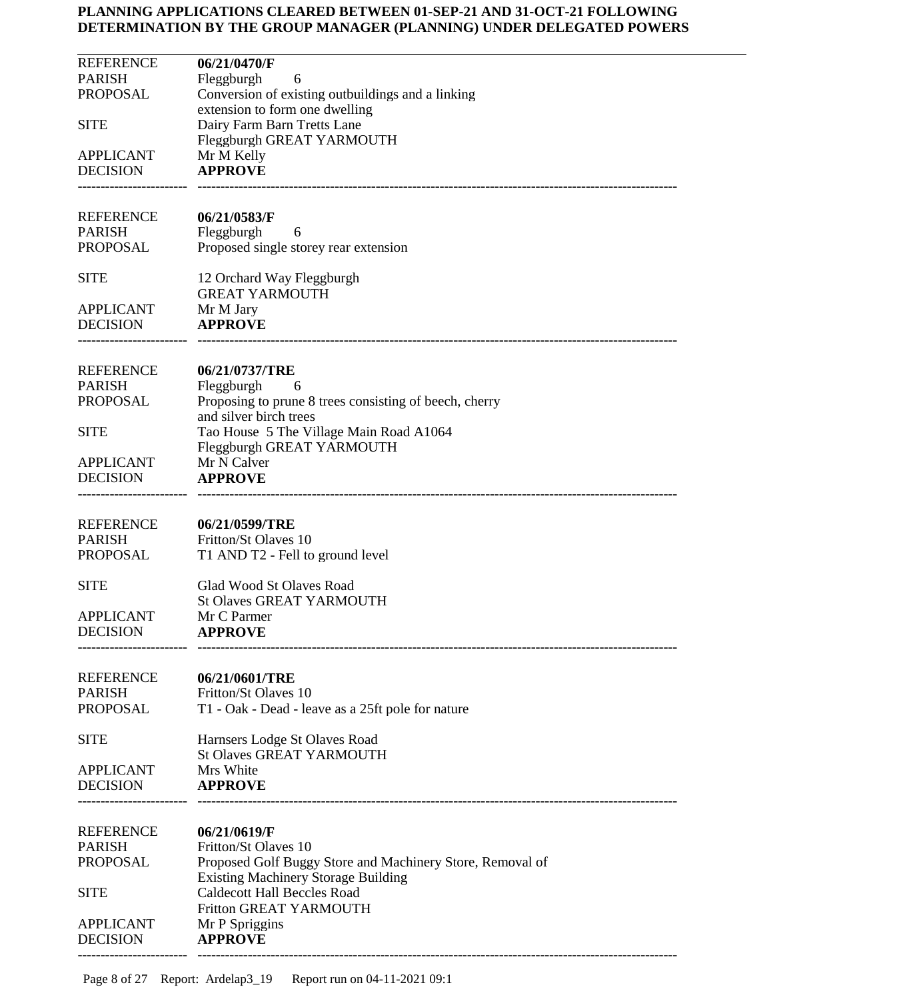| <b>REFERENCE</b>                  | 06/21/0470/F                                                                     |
|-----------------------------------|----------------------------------------------------------------------------------|
| <b>PARISH</b>                     | Fleggburgh<br>6                                                                  |
| PROPOSAL                          | Conversion of existing outbuildings and a linking                                |
| <b>SITE</b>                       | extension to form one dwelling<br>Dairy Farm Barn Tretts Lane                    |
|                                   | Fleggburgh GREAT YARMOUTH                                                        |
| <b>APPLICANT</b>                  | Mr M Kelly                                                                       |
| <b>DECISION</b>                   | <b>APPROVE</b>                                                                   |
|                                   |                                                                                  |
|                                   |                                                                                  |
| <b>REFERENCE</b><br><b>PARISH</b> | 06/21/0583/F<br>Fleggburgh<br>6                                                  |
| PROPOSAL                          | Proposed single storey rear extension                                            |
|                                   |                                                                                  |
| <b>SITE</b>                       | 12 Orchard Way Fleggburgh                                                        |
|                                   | <b>GREAT YARMOUTH</b>                                                            |
| <b>APPLICANT</b>                  | Mr M Jary                                                                        |
| <b>DECISION</b>                   | <b>APPROVE</b>                                                                   |
|                                   |                                                                                  |
| <b>REFERENCE</b>                  | 06/21/0737/TRE                                                                   |
| <b>PARISH</b>                     | Fleggburgh<br>- 6                                                                |
| <b>PROPOSAL</b>                   | Proposing to prune 8 trees consisting of beech, cherry                           |
|                                   | and silver birch trees                                                           |
| <b>SITE</b>                       | Tao House 5 The Village Main Road A1064                                          |
| APPLICANT                         | Fleggburgh GREAT YARMOUTH<br>Mr N Calver                                         |
| <b>DECISION</b>                   | <b>APPROVE</b>                                                                   |
|                                   |                                                                                  |
|                                   |                                                                                  |
| <b>REFERENCE</b>                  | 06/21/0599/TRE                                                                   |
| <b>PARISH</b>                     | Fritton/St Olaves 10                                                             |
| PROPOSAL                          | T1 AND T2 - Fell to ground level                                                 |
| <b>SITE</b>                       | <b>Glad Wood St Olaves Road</b>                                                  |
|                                   | <b>St Olaves GREAT YARMOUTH</b>                                                  |
| <b>APPLICANT</b>                  | Mr C Parmer                                                                      |
| <b>DECISION</b>                   | <b>APPROVE</b>                                                                   |
|                                   |                                                                                  |
| <b>REFERENCE</b>                  | 06/21/0601/TRE                                                                   |
| <b>PARISH</b>                     | Fritton/St Olaves 10                                                             |
| <b>PROPOSAL</b>                   | T1 - Oak - Dead - leave as a 25ft pole for nature                                |
|                                   |                                                                                  |
| <b>SITE</b>                       | Harnsers Lodge St Olaves Road                                                    |
| <b>APPLICANT</b>                  | <b>St Olaves GREAT YARMOUTH</b><br>Mrs White                                     |
| <b>DECISION</b>                   | <b>APPROVE</b>                                                                   |
|                                   |                                                                                  |
|                                   |                                                                                  |
| <b>REFERENCE</b>                  | 06/21/0619/F                                                                     |
| <b>PARISH</b>                     | Fritton/St Olaves 10                                                             |
| <b>PROPOSAL</b>                   | Proposed Golf Buggy Store and Machinery Store, Removal of                        |
| <b>SITE</b>                       | <b>Existing Machinery Storage Building</b><br><b>Caldecott Hall Beccles Road</b> |
|                                   | Fritton GREAT YARMOUTH                                                           |
| <b>APPLICANT</b>                  | Mr P Spriggins                                                                   |
| <b>DECISION</b>                   | <b>APPROVE</b>                                                                   |
|                                   |                                                                                  |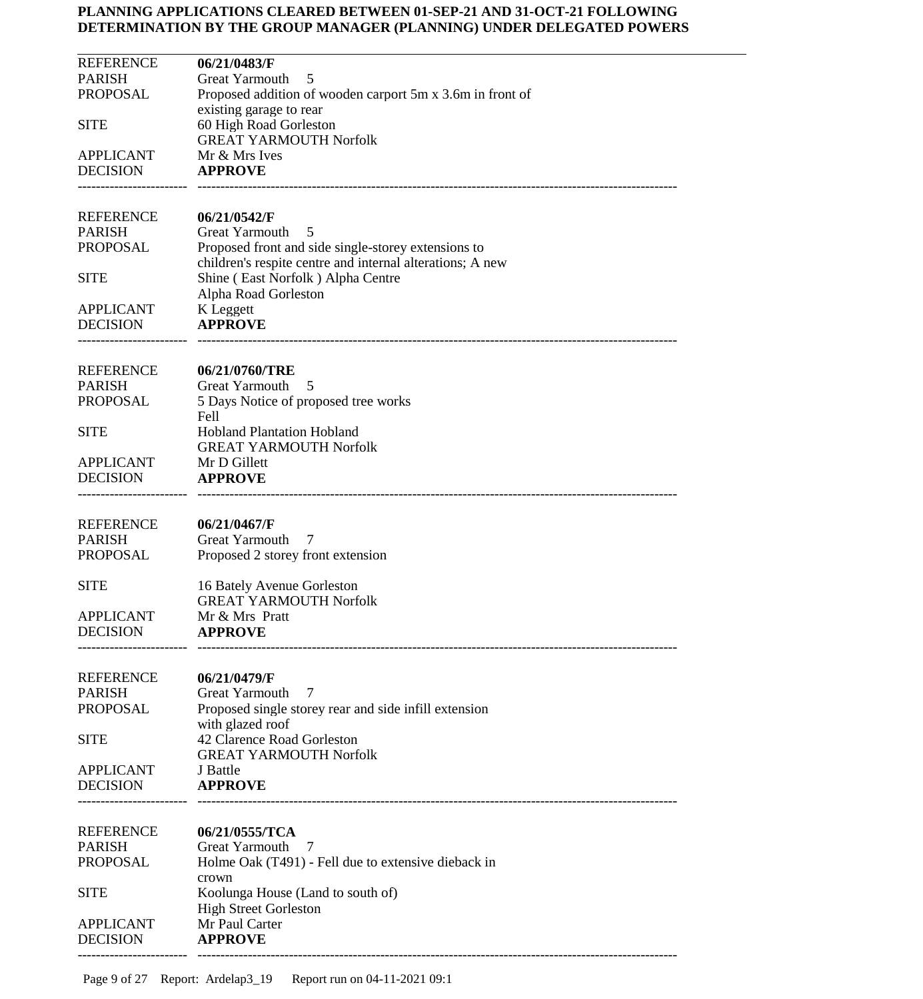| <b>REFERENCE</b>                    | 06/21/0483/F                                                                                   |
|-------------------------------------|------------------------------------------------------------------------------------------------|
| <b>PARISH</b>                       | <b>Great Yarmouth</b><br>5                                                                     |
| <b>PROPOSAL</b>                     | Proposed addition of wooden carport 5m x 3.6m in front of                                      |
|                                     | existing garage to rear                                                                        |
| <b>SITE</b>                         | 60 High Road Gorleston                                                                         |
| <b>APPLICANT</b>                    | <b>GREAT YARMOUTH Norfolk</b><br>Mr & Mrs Ives                                                 |
| <b>DECISION</b>                     | <b>APPROVE</b>                                                                                 |
|                                     |                                                                                                |
|                                     |                                                                                                |
| <b>REFERENCE</b>                    | 06/21/0542/F                                                                                   |
| <b>PARISH</b>                       | <b>Great Yarmouth</b><br>5                                                                     |
| <b>PROPOSAL</b>                     | Proposed front and side single-storey extensions to                                            |
| <b>SITE</b>                         | children's respite centre and internal alterations; A new<br>Shine (East Norfolk) Alpha Centre |
|                                     | Alpha Road Gorleston                                                                           |
| <b>APPLICANT</b>                    | K Leggett                                                                                      |
| <b>DECISION</b>                     | <b>APPROVE</b>                                                                                 |
|                                     |                                                                                                |
|                                     |                                                                                                |
| <b>REFERENCE</b><br><b>PARISH</b>   | 06/21/0760/TRE<br>Great Yarmouth<br>5                                                          |
| <b>PROPOSAL</b>                     | 5 Days Notice of proposed tree works                                                           |
|                                     | Fell                                                                                           |
| <b>SITE</b>                         | <b>Hobland Plantation Hobland</b>                                                              |
|                                     | <b>GREAT YARMOUTH Norfolk</b>                                                                  |
| <b>APPLICANT</b>                    | Mr D Gillett                                                                                   |
| <b>DECISION</b>                     | <b>APPROVE</b>                                                                                 |
|                                     |                                                                                                |
| <b>REFERENCE</b>                    | 06/21/0467/F                                                                                   |
| <b>PARISH</b>                       | <b>Great Yarmouth</b><br>7                                                                     |
| <b>PROPOSAL</b>                     | Proposed 2 storey front extension                                                              |
|                                     |                                                                                                |
| <b>SITE</b>                         | 16 Bately Avenue Gorleston<br><b>GREAT YARMOUTH Norfolk</b>                                    |
| <b>APPLICANT</b>                    | Mr & Mrs Pratt                                                                                 |
| <b>DECISION</b>                     | <b>APPROVE</b>                                                                                 |
|                                     |                                                                                                |
|                                     |                                                                                                |
| <b>REFERENCE</b><br><b>PARISH</b>   | 06/21/0479/F                                                                                   |
| <b>PROPOSAL</b>                     | <b>Great Yarmouth</b><br>7<br>Proposed single storey rear and side infill extension            |
|                                     | with glazed roof                                                                               |
| <b>SITE</b>                         | 42 Clarence Road Gorleston                                                                     |
|                                     | <b>GREAT YARMOUTH Norfolk</b>                                                                  |
| <b>APPLICANT</b>                    | J Battle                                                                                       |
| <b>DECISION</b>                     | <b>APPROVE</b>                                                                                 |
|                                     |                                                                                                |
| <b>REFERENCE</b>                    | 06/21/0555/TCA                                                                                 |
| <b>PARISH</b>                       | <b>Great Yarmouth</b><br>7                                                                     |
| <b>PROPOSAL</b>                     | Holme Oak (T491) - Fell due to extensive dieback in                                            |
|                                     | crown                                                                                          |
| <b>SITE</b>                         | Koolunga House (Land to south of)                                                              |
|                                     | <b>High Street Gorleston</b><br>Mr Paul Carter                                                 |
| <b>APPLICANT</b><br><b>DECISION</b> | <b>APPROVE</b>                                                                                 |
|                                     |                                                                                                |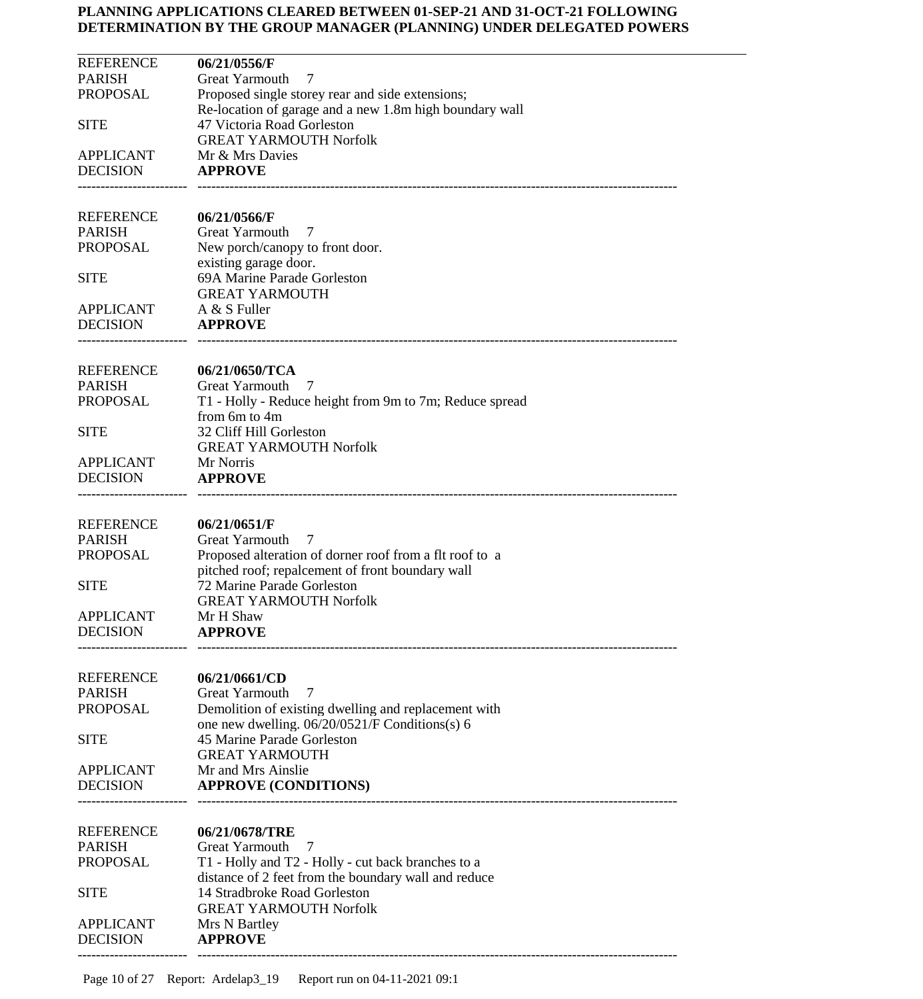| <b>REFERENCE</b>                    | 06/21/0556/F                                                             |
|-------------------------------------|--------------------------------------------------------------------------|
| <b>PARISH</b>                       | <b>Great Yarmouth</b><br>7                                               |
| <b>PROPOSAL</b>                     | Proposed single storey rear and side extensions;                         |
|                                     | Re-location of garage and a new 1.8m high boundary wall                  |
| <b>SITE</b>                         | 47 Victoria Road Gorleston                                               |
|                                     | <b>GREAT YARMOUTH Norfolk</b>                                            |
| <b>APPLICANT</b><br><b>DECISION</b> | Mr & Mrs Davies<br><b>APPROVE</b>                                        |
|                                     |                                                                          |
| <b>REFERENCE</b>                    | 06/21/0566/F                                                             |
| <b>PARISH</b>                       | <b>Great Yarmouth</b><br>7                                               |
| <b>PROPOSAL</b>                     | New porch/canopy to front door.                                          |
|                                     | existing garage door.                                                    |
| <b>SITE</b>                         | 69A Marine Parade Gorleston                                              |
|                                     | <b>GREAT YARMOUTH</b>                                                    |
| <b>APPLICANT</b>                    | A & S Fuller                                                             |
| <b>DECISION</b>                     | <b>APPROVE</b>                                                           |
|                                     |                                                                          |
| REFERENCE                           | 06/21/0650/TCA                                                           |
| <b>PARISH</b>                       | <b>Great Yarmouth</b><br>7                                               |
| <b>PROPOSAL</b>                     | T1 - Holly - Reduce height from 9m to 7m; Reduce spread<br>from 6m to 4m |
| <b>SITE</b>                         | 32 Cliff Hill Gorleston                                                  |
|                                     | <b>GREAT YARMOUTH Norfolk</b>                                            |
| <b>APPLICANT</b>                    | Mr Norris                                                                |
| <b>DECISION</b>                     | <b>APPROVE</b>                                                           |
|                                     |                                                                          |
| <b>REFERENCE</b>                    | 06/21/0651/F                                                             |
| <b>PARISH</b>                       | <b>Great Yarmouth</b><br>7                                               |
| <b>PROPOSAL</b>                     | Proposed alteration of dorner roof from a flt roof to a                  |
|                                     | pitched roof; repalcement of front boundary wall                         |
| <b>SITE</b>                         | 72 Marine Parade Gorleston                                               |
|                                     | <b>GREAT YARMOUTH Norfolk</b>                                            |
| <b>APPLICANT</b>                    | Mr H Shaw                                                                |
| <b>DECISION</b>                     | <b>APPROVE</b>                                                           |
| <b>REFERENCE</b>                    | 06/21/0661/CD                                                            |
| <b>PARISH</b>                       | Great Yarmouth<br>7                                                      |
| <b>PROPOSAL</b>                     | Demolition of existing dwelling and replacement with                     |
|                                     | one new dwelling. 06/20/0521/F Conditions(s) 6                           |
| <b>SITE</b>                         | 45 Marine Parade Gorleston                                               |
|                                     | <b>GREAT YARMOUTH</b>                                                    |
| <b>APPLICANT</b>                    | Mr and Mrs Ainslie                                                       |
| <b>DECISION</b>                     | <b>APPROVE (CONDITIONS)</b>                                              |
|                                     |                                                                          |
| <b>REFERENCE</b>                    | 06/21/0678/TRE                                                           |
| <b>PARISH</b>                       | Great Yarmouth<br>7                                                      |
| <b>PROPOSAL</b>                     | T1 - Holly and T2 - Holly - cut back branches to a                       |
|                                     | distance of 2 feet from the boundary wall and reduce                     |
| <b>SITE</b>                         | 14 Stradbroke Road Gorleston                                             |
|                                     | <b>GREAT YARMOUTH Norfolk</b>                                            |
| <b>APPLICANT</b>                    | Mrs N Bartley                                                            |
| <b>DECISION</b>                     | <b>APPROVE</b>                                                           |
|                                     |                                                                          |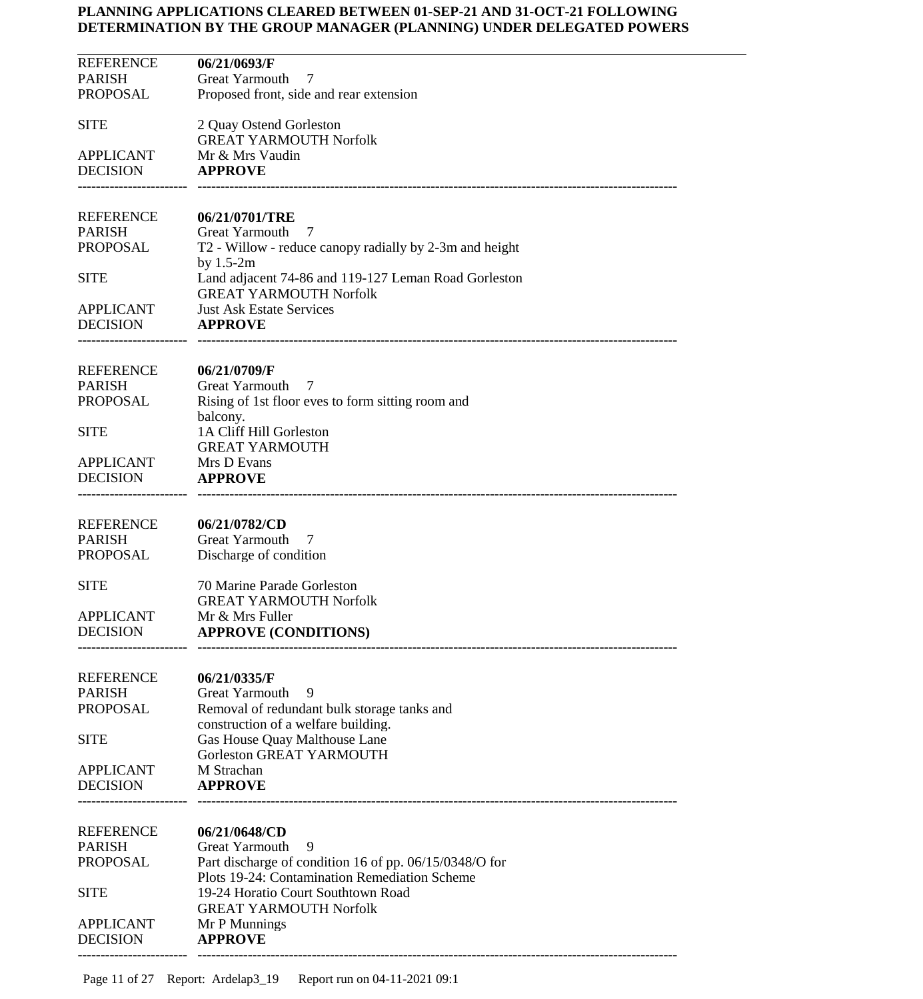| 2 Quay Ostend Gorleston<br><b>GREAT YARMOUTH Norfolk</b><br>Mr & Mrs Vaudin<br><b>APPROVE</b><br>06/21/0701/TRE<br><b>Great Yarmouth</b><br>7<br>T2 - Willow - reduce canopy radially by 2-3m and height<br>by $1.5-2m$<br>Land adjacent 74-86 and 119-127 Leman Road Gorleston<br><b>SITE</b><br><b>GREAT YARMOUTH Norfolk</b><br><b>Just Ask Estate Services</b><br><b>APPLICANT</b><br><b>APPROVE</b><br>06/21/0709/F<br><b>PARISH</b><br><b>Great Yarmouth</b><br>7<br>Rising of 1st floor eves to form sitting room and<br>balcony.<br>1A Cliff Hill Gorleston<br><b>GREAT YARMOUTH</b><br>Mrs D Evans<br><b>APPROVE</b><br>06/21/0782/CD<br><b>Great Yarmouth</b><br>7<br>Discharge of condition<br>70 Marine Parade Gorleston<br><b>GREAT YARMOUTH Norfolk</b><br>Mr & Mrs Fuller<br><b>DECISION</b><br><b>APPROVE (CONDITIONS)</b><br>06/21/0335/F<br><b>PARISH</b><br>Great Yarmouth<br>9<br>Removal of redundant bulk storage tanks and<br>construction of a welfare building.<br>Gas House Quay Malthouse Lane<br>Gorleston GREAT YARMOUTH<br>M Strachan<br><b>APPROVE</b><br>06/21/0648/CD<br><b>PARISH</b><br>Great Yarmouth<br>9<br>Part discharge of condition 16 of pp. 06/15/0348/O for<br>Plots 19-24: Contamination Remediation Scheme<br>19-24 Horatio Court Southtown Road<br><b>GREAT YARMOUTH Norfolk</b><br>Mr P Munnings<br><b>APPROVE</b> | <b>REFERENCE</b><br><b>PARISH</b><br><b>PROPOSAL</b> | 06/21/0693/F<br>Great Yarmouth<br>7<br>Proposed front, side and rear extension |
|---------------------------------------------------------------------------------------------------------------------------------------------------------------------------------------------------------------------------------------------------------------------------------------------------------------------------------------------------------------------------------------------------------------------------------------------------------------------------------------------------------------------------------------------------------------------------------------------------------------------------------------------------------------------------------------------------------------------------------------------------------------------------------------------------------------------------------------------------------------------------------------------------------------------------------------------------------------------------------------------------------------------------------------------------------------------------------------------------------------------------------------------------------------------------------------------------------------------------------------------------------------------------------------------------------------------------------------------------------------------|------------------------------------------------------|--------------------------------------------------------------------------------|
|                                                                                                                                                                                                                                                                                                                                                                                                                                                                                                                                                                                                                                                                                                                                                                                                                                                                                                                                                                                                                                                                                                                                                                                                                                                                                                                                                                     | <b>SITE</b>                                          |                                                                                |
|                                                                                                                                                                                                                                                                                                                                                                                                                                                                                                                                                                                                                                                                                                                                                                                                                                                                                                                                                                                                                                                                                                                                                                                                                                                                                                                                                                     | <b>APPLICANT</b><br><b>DECISION</b>                  |                                                                                |
|                                                                                                                                                                                                                                                                                                                                                                                                                                                                                                                                                                                                                                                                                                                                                                                                                                                                                                                                                                                                                                                                                                                                                                                                                                                                                                                                                                     | <b>REFERENCE</b><br><b>PARISH</b>                    |                                                                                |
|                                                                                                                                                                                                                                                                                                                                                                                                                                                                                                                                                                                                                                                                                                                                                                                                                                                                                                                                                                                                                                                                                                                                                                                                                                                                                                                                                                     | <b>PROPOSAL</b>                                      |                                                                                |
|                                                                                                                                                                                                                                                                                                                                                                                                                                                                                                                                                                                                                                                                                                                                                                                                                                                                                                                                                                                                                                                                                                                                                                                                                                                                                                                                                                     |                                                      |                                                                                |
|                                                                                                                                                                                                                                                                                                                                                                                                                                                                                                                                                                                                                                                                                                                                                                                                                                                                                                                                                                                                                                                                                                                                                                                                                                                                                                                                                                     | <b>DECISION</b>                                      |                                                                                |
|                                                                                                                                                                                                                                                                                                                                                                                                                                                                                                                                                                                                                                                                                                                                                                                                                                                                                                                                                                                                                                                                                                                                                                                                                                                                                                                                                                     | <b>REFERENCE</b>                                     |                                                                                |
|                                                                                                                                                                                                                                                                                                                                                                                                                                                                                                                                                                                                                                                                                                                                                                                                                                                                                                                                                                                                                                                                                                                                                                                                                                                                                                                                                                     | <b>PROPOSAL</b>                                      |                                                                                |
|                                                                                                                                                                                                                                                                                                                                                                                                                                                                                                                                                                                                                                                                                                                                                                                                                                                                                                                                                                                                                                                                                                                                                                                                                                                                                                                                                                     | <b>SITE</b>                                          |                                                                                |
|                                                                                                                                                                                                                                                                                                                                                                                                                                                                                                                                                                                                                                                                                                                                                                                                                                                                                                                                                                                                                                                                                                                                                                                                                                                                                                                                                                     | APPLICANT<br><b>DECISION</b>                         |                                                                                |
|                                                                                                                                                                                                                                                                                                                                                                                                                                                                                                                                                                                                                                                                                                                                                                                                                                                                                                                                                                                                                                                                                                                                                                                                                                                                                                                                                                     | <b>REFERENCE</b><br><b>PARISH</b>                    |                                                                                |
|                                                                                                                                                                                                                                                                                                                                                                                                                                                                                                                                                                                                                                                                                                                                                                                                                                                                                                                                                                                                                                                                                                                                                                                                                                                                                                                                                                     | <b>PROPOSAL</b>                                      |                                                                                |
|                                                                                                                                                                                                                                                                                                                                                                                                                                                                                                                                                                                                                                                                                                                                                                                                                                                                                                                                                                                                                                                                                                                                                                                                                                                                                                                                                                     | <b>SITE</b>                                          |                                                                                |
|                                                                                                                                                                                                                                                                                                                                                                                                                                                                                                                                                                                                                                                                                                                                                                                                                                                                                                                                                                                                                                                                                                                                                                                                                                                                                                                                                                     | <b>APPLICANT</b>                                     |                                                                                |
|                                                                                                                                                                                                                                                                                                                                                                                                                                                                                                                                                                                                                                                                                                                                                                                                                                                                                                                                                                                                                                                                                                                                                                                                                                                                                                                                                                     | <b>REFERENCE</b>                                     |                                                                                |
|                                                                                                                                                                                                                                                                                                                                                                                                                                                                                                                                                                                                                                                                                                                                                                                                                                                                                                                                                                                                                                                                                                                                                                                                                                                                                                                                                                     | <b>PROPOSAL</b>                                      |                                                                                |
|                                                                                                                                                                                                                                                                                                                                                                                                                                                                                                                                                                                                                                                                                                                                                                                                                                                                                                                                                                                                                                                                                                                                                                                                                                                                                                                                                                     | <b>SITE</b>                                          |                                                                                |
|                                                                                                                                                                                                                                                                                                                                                                                                                                                                                                                                                                                                                                                                                                                                                                                                                                                                                                                                                                                                                                                                                                                                                                                                                                                                                                                                                                     | <b>APPLICANT</b><br><b>DECISION</b>                  |                                                                                |
|                                                                                                                                                                                                                                                                                                                                                                                                                                                                                                                                                                                                                                                                                                                                                                                                                                                                                                                                                                                                                                                                                                                                                                                                                                                                                                                                                                     | <b>REFERENCE</b>                                     |                                                                                |
|                                                                                                                                                                                                                                                                                                                                                                                                                                                                                                                                                                                                                                                                                                                                                                                                                                                                                                                                                                                                                                                                                                                                                                                                                                                                                                                                                                     | <b>PROPOSAL</b>                                      |                                                                                |
|                                                                                                                                                                                                                                                                                                                                                                                                                                                                                                                                                                                                                                                                                                                                                                                                                                                                                                                                                                                                                                                                                                                                                                                                                                                                                                                                                                     | <b>SITE</b>                                          |                                                                                |
|                                                                                                                                                                                                                                                                                                                                                                                                                                                                                                                                                                                                                                                                                                                                                                                                                                                                                                                                                                                                                                                                                                                                                                                                                                                                                                                                                                     | <b>APPLICANT</b><br><b>DECISION</b>                  |                                                                                |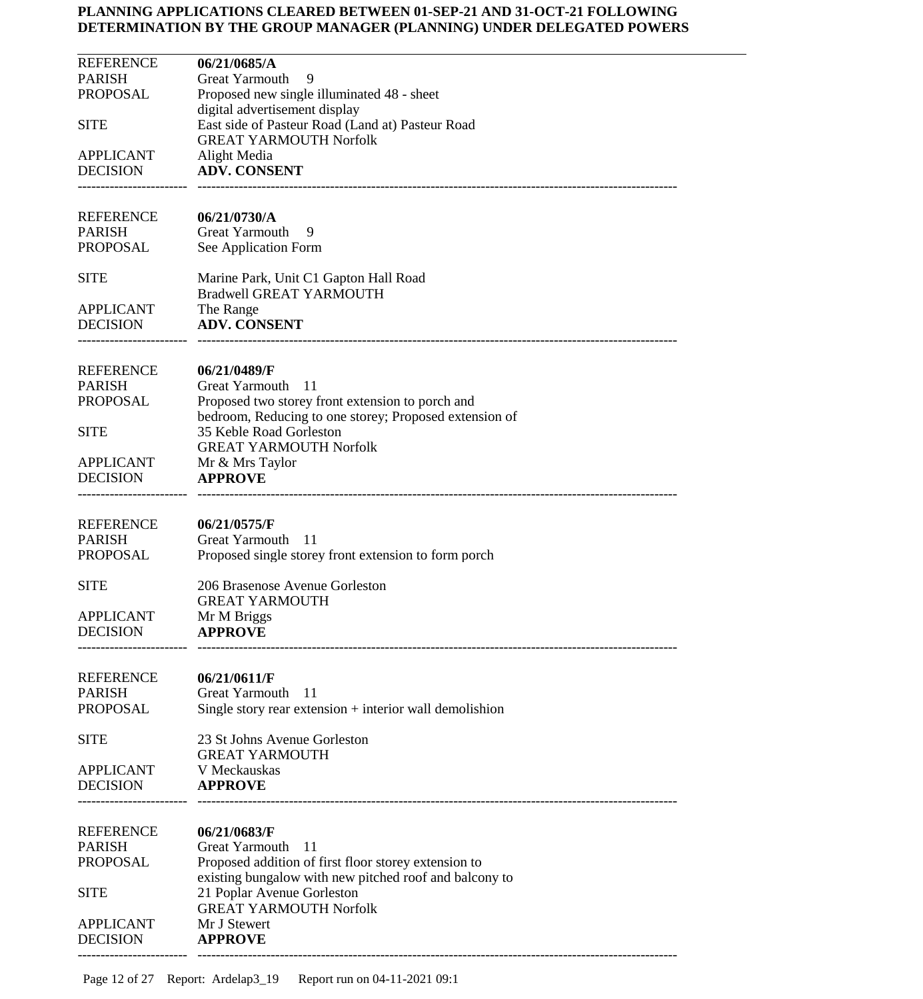| <b>REFERENCE</b><br>06/21/0685/A                                        |  |
|-------------------------------------------------------------------------|--|
| <b>PARISH</b><br><b>Great Yarmouth</b><br>9                             |  |
| PROPOSAL<br>Proposed new single illuminated 48 - sheet                  |  |
| digital advertisement display                                           |  |
| East side of Pasteur Road (Land at) Pasteur Road<br><b>SITE</b>         |  |
| <b>GREAT YARMOUTH Norfolk</b><br><b>APPLICANT</b><br>Alight Media       |  |
| <b>DECISION</b><br><b>ADV. CONSENT</b>                                  |  |
|                                                                         |  |
|                                                                         |  |
| <b>REFERENCE</b><br>06/21/0730/A                                        |  |
| <b>PARISH</b><br>Great Yarmouth<br>9                                    |  |
| PROPOSAL<br>See Application Form                                        |  |
| <b>SITE</b><br>Marine Park, Unit C1 Gapton Hall Road                    |  |
| <b>Bradwell GREAT YARMOUTH</b>                                          |  |
| <b>APPLICANT</b><br>The Range                                           |  |
| <b>DECISION</b><br><b>ADV. CONSENT</b>                                  |  |
|                                                                         |  |
| <b>REFERENCE</b>                                                        |  |
| 06/21/0489/F<br><b>PARISH</b><br><b>Great Yarmouth</b><br>$-11$         |  |
| PROPOSAL<br>Proposed two storey front extension to porch and            |  |
| bedroom, Reducing to one storey; Proposed extension of                  |  |
| 35 Keble Road Gorleston<br><b>SITE</b>                                  |  |
| <b>GREAT YARMOUTH Norfolk</b>                                           |  |
| APPLICANT<br>Mr & Mrs Taylor                                            |  |
| <b>DECISION</b><br><b>APPROVE</b>                                       |  |
|                                                                         |  |
| <b>REFERENCE</b><br>06/21/0575/F                                        |  |
| <b>PARISH</b><br>Great Yarmouth<br>- 11                                 |  |
| PROPOSAL<br>Proposed single storey front extension to form porch        |  |
|                                                                         |  |
| <b>SITE</b><br>206 Brasenose Avenue Gorleston<br><b>GREAT YARMOUTH</b>  |  |
| <b>APPLICANT</b><br>Mr M Briggs                                         |  |
| <b>DECISION</b><br><b>APPROVE</b>                                       |  |
|                                                                         |  |
|                                                                         |  |
| <b>REFERENCE</b><br>06/21/0611/F                                        |  |
| <b>PARISH</b><br><b>Great Yarmouth</b><br>11<br><b>PROPOSAL</b>         |  |
| Single story rear extension + interior wall demolishion                 |  |
| 23 St Johns Avenue Gorleston<br><b>SITE</b>                             |  |
| <b>GREAT YARMOUTH</b>                                                   |  |
| V Meckauskas<br><b>APPLICANT</b>                                        |  |
| <b>DECISION</b><br><b>APPROVE</b>                                       |  |
|                                                                         |  |
| <b>REFERENCE</b><br>06/21/0683/F                                        |  |
| <b>PARISH</b><br><b>Great Yarmouth</b><br>11                            |  |
| <b>PROPOSAL</b><br>Proposed addition of first floor storey extension to |  |
| existing bungalow with new pitched roof and balcony to                  |  |
| 21 Poplar Avenue Gorleston<br><b>SITE</b>                               |  |
| <b>GREAT YARMOUTH Norfolk</b>                                           |  |
| Mr J Stewert<br><b>APPLICANT</b><br><b>DECISION</b><br><b>APPROVE</b>   |  |
|                                                                         |  |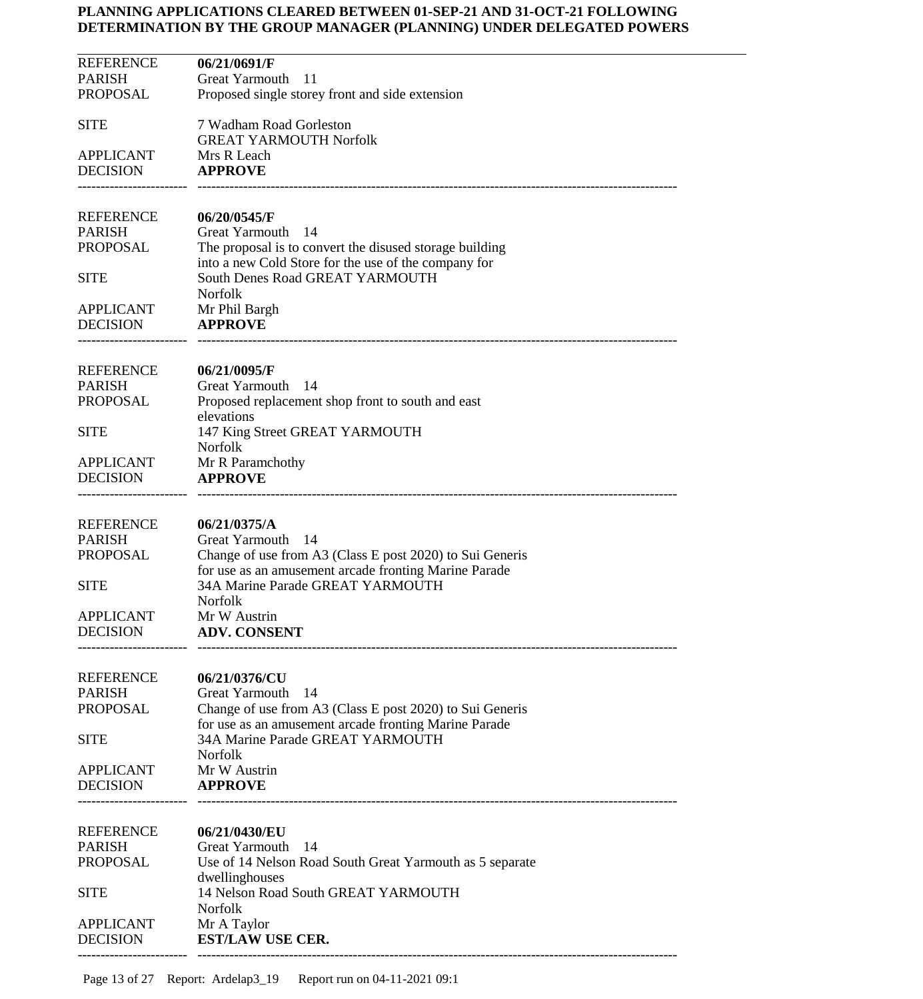| <b>REFERENCE</b>                  | 06/21/0691/F                                                                              |
|-----------------------------------|-------------------------------------------------------------------------------------------|
| <b>PARISH</b>                     | Great Yarmouth<br>11                                                                      |
| <b>PROPOSAL</b>                   | Proposed single storey front and side extension                                           |
| <b>SITE</b>                       | 7 Wadham Road Gorleston                                                                   |
|                                   | <b>GREAT YARMOUTH Norfolk</b>                                                             |
| <b>APPLICANT</b>                  | Mrs R Leach                                                                               |
| <b>DECISION</b>                   | <b>APPROVE</b>                                                                            |
|                                   |                                                                                           |
| REFERENCE                         | 06/20/0545/F                                                                              |
| <b>PARISH</b>                     | Great Yarmouth<br>-14                                                                     |
| <b>PROPOSAL</b>                   | The proposal is to convert the disused storage building                                   |
|                                   | into a new Cold Store for the use of the company for                                      |
| <b>SITE</b>                       | South Denes Road GREAT YARMOUTH                                                           |
| <b>APPLICANT</b>                  | Norfolk                                                                                   |
| <b>DECISION</b>                   | Mr Phil Bargh<br><b>APPROVE</b>                                                           |
|                                   |                                                                                           |
|                                   |                                                                                           |
| REFERENCE                         | 06/21/0095/F<br>Great Yarmouth 14                                                         |
| <b>PARISH</b><br><b>PROPOSAL</b>  | Proposed replacement shop front to south and east                                         |
|                                   | elevations                                                                                |
| <b>SITE</b>                       | 147 King Street GREAT YARMOUTH                                                            |
|                                   | Norfolk                                                                                   |
| <b>APPLICANT</b>                  | Mr R Paramchothy                                                                          |
| <b>DECISION</b>                   | <b>APPROVE</b>                                                                            |
|                                   |                                                                                           |
| REFERENCE                         | 06/21/0375/A                                                                              |
| <b>PARISH</b>                     | Great Yarmouth 14                                                                         |
| <b>PROPOSAL</b>                   | Change of use from A3 (Class E post 2020) to Sui Generis                                  |
| <b>SITE</b>                       | for use as an amusement arcade fronting Marine Parade<br>34A Marine Parade GREAT YARMOUTH |
|                                   | <b>Norfolk</b>                                                                            |
| <b>APPLICANT</b>                  | Mr W Austrin                                                                              |
| DECISION                          | <b>ADV. CONSENT</b>                                                                       |
|                                   |                                                                                           |
| <b>REFERENCE</b>                  | 06/21/0376/CU                                                                             |
| <b>PARISH</b>                     | <b>Great Yarmouth</b><br>14                                                               |
| <b>PROPOSAL</b>                   | Change of use from A3 (Class E post 2020) to Sui Generis                                  |
|                                   | for use as an amusement arcade fronting Marine Parade                                     |
| <b>SITE</b>                       | 34A Marine Parade GREAT YARMOUTH                                                          |
| <b>APPLICANT</b>                  | <b>Norfolk</b><br>Mr W Austrin                                                            |
| <b>DECISION</b>                   | <b>APPROVE</b>                                                                            |
|                                   |                                                                                           |
|                                   |                                                                                           |
| <b>REFERENCE</b><br><b>PARISH</b> | 06/21/0430/EU<br>Great Yarmouth<br>-14                                                    |
| <b>PROPOSAL</b>                   | Use of 14 Nelson Road South Great Yarmouth as 5 separate                                  |
|                                   | dwellinghouses                                                                            |
| <b>SITE</b>                       | 14 Nelson Road South GREAT YARMOUTH                                                       |
|                                   | <b>Norfolk</b>                                                                            |
| <b>APPLICANT</b>                  | Mr A Taylor                                                                               |
| <b>DECISION</b>                   | <b>EST/LAW USE CER.</b>                                                                   |
|                                   |                                                                                           |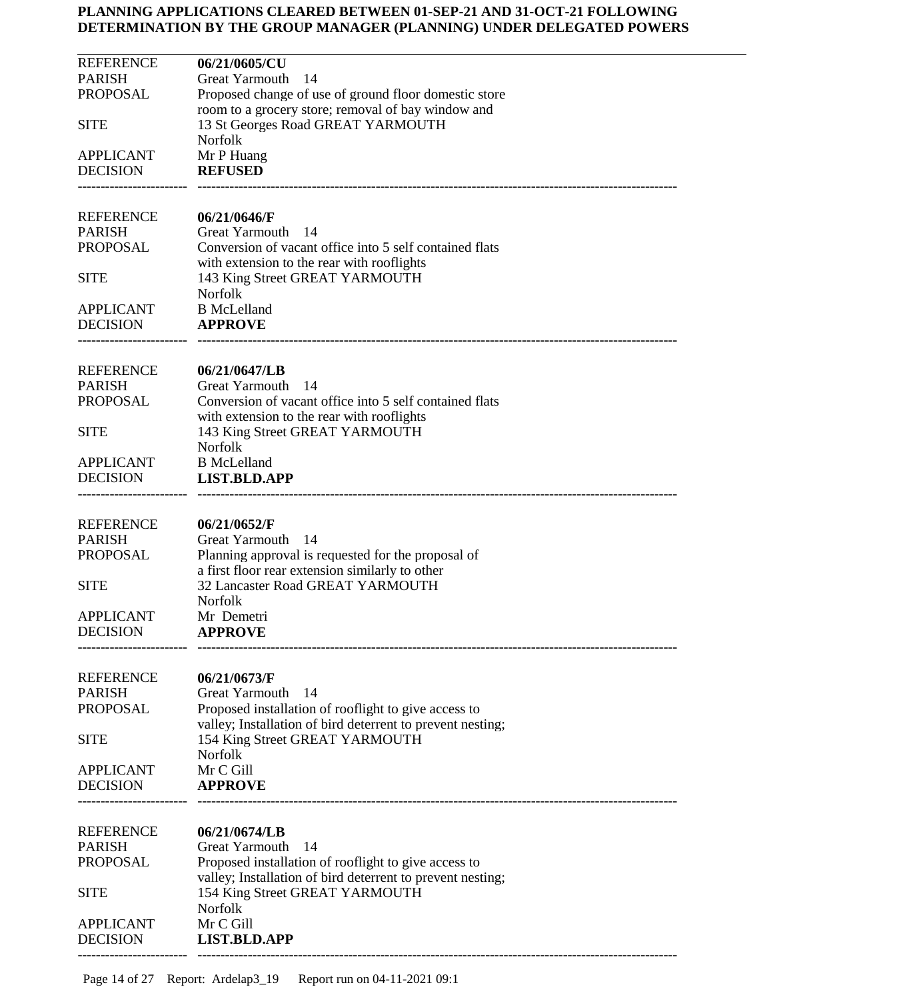| <b>REFERENCE</b> | 06/21/0605/CU                                                                           |
|------------------|-----------------------------------------------------------------------------------------|
| <b>PARISH</b>    | <b>Great Yarmouth</b><br>-14                                                            |
| <b>PROPOSAL</b>  | Proposed change of use of ground floor domestic store                                   |
| <b>SITE</b>      | room to a grocery store; removal of bay window and<br>13 St Georges Road GREAT YARMOUTH |
|                  | <b>Norfolk</b>                                                                          |
| <b>APPLICANT</b> | Mr P Huang                                                                              |
| <b>DECISION</b>  | <b>REFUSED</b>                                                                          |
| <b>REFERENCE</b> |                                                                                         |
| <b>PARISH</b>    | 06/21/0646/F<br><b>Great Yarmouth</b><br>- 14                                           |
| <b>PROPOSAL</b>  | Conversion of vacant office into 5 self contained flats                                 |
|                  | with extension to the rear with rooflights                                              |
| <b>SITE</b>      | 143 King Street GREAT YARMOUTH                                                          |
|                  | Norfolk                                                                                 |
| <b>APPLICANT</b> | <b>B</b> McLelland<br><b>APPROVE</b>                                                    |
| <b>DECISION</b>  |                                                                                         |
| <b>REFERENCE</b> | 06/21/0647/LB                                                                           |
| <b>PARISH</b>    | <b>Great Yarmouth</b><br>- 14                                                           |
| <b>PROPOSAL</b>  | Conversion of vacant office into 5 self contained flats                                 |
|                  | with extension to the rear with rooflights                                              |
| <b>SITE</b>      | 143 King Street GREAT YARMOUTH<br>Norfolk                                               |
| <b>APPLICANT</b> | <b>B</b> McLelland                                                                      |
| <b>DECISION</b>  | <b>LIST.BLD.APP</b>                                                                     |
|                  |                                                                                         |
| <b>REFERENCE</b> | 06/21/0652/F                                                                            |
| <b>PARISH</b>    | Great Yarmouth 14                                                                       |
| <b>PROPOSAL</b>  | Planning approval is requested for the proposal of                                      |
|                  | a first floor rear extension similarly to other                                         |
| <b>SITE</b>      | 32 Lancaster Road GREAT YARMOUTH                                                        |
| <b>APPLICANT</b> | Norfolk<br>Mr Demetri                                                                   |
| <b>DECISION</b>  | <b>APPROVE</b>                                                                          |
|                  |                                                                                         |
| <b>REFERENCE</b> | 06/21/0673/F                                                                            |
| <b>PARISH</b>    | Great Yarmouth<br>14                                                                    |
| <b>PROPOSAL</b>  | Proposed installation of rooflight to give access to                                    |
|                  | valley; Installation of bird deterrent to prevent nesting;                              |
| <b>SITE</b>      | 154 King Street GREAT YARMOUTH                                                          |
| <b>APPLICANT</b> | Norfolk<br>Mr C Gill                                                                    |
| <b>DECISION</b>  | <b>APPROVE</b>                                                                          |
|                  |                                                                                         |
| <b>REFERENCE</b> | 06/21/0674/LB                                                                           |
| <b>PARISH</b>    | 14<br>Great Yarmouth                                                                    |
| <b>PROPOSAL</b>  | Proposed installation of rooflight to give access to                                    |
|                  | valley; Installation of bird deterrent to prevent nesting;                              |
| <b>SITE</b>      | 154 King Street GREAT YARMOUTH                                                          |
| <b>APPLICANT</b> | Norfolk<br>Mr C Gill                                                                    |
| <b>DECISION</b>  | <b>LIST.BLD.APP</b>                                                                     |
|                  |                                                                                         |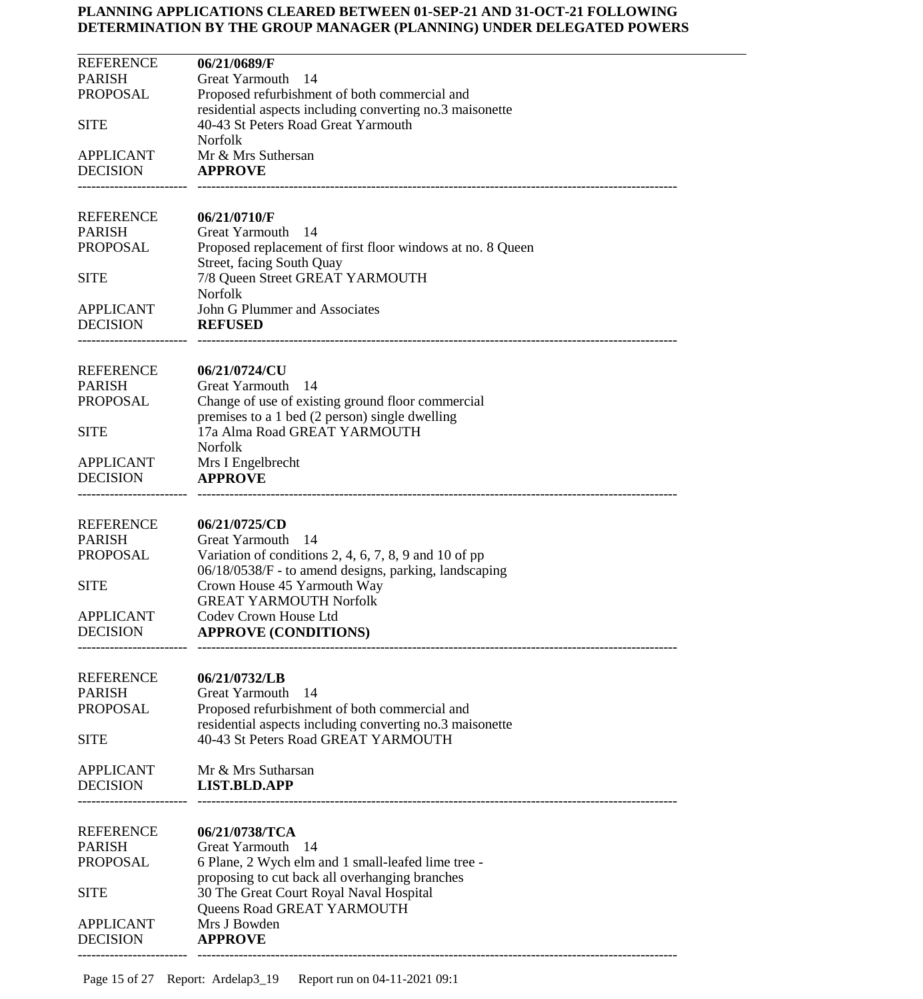| <b>REFERENCE</b> | 06/21/0689/F                                               |
|------------------|------------------------------------------------------------|
| <b>PARISH</b>    | <b>Great Yarmouth</b><br>-14                               |
| <b>PROPOSAL</b>  | Proposed refurbishment of both commercial and              |
|                  | residential aspects including converting no.3 maisonette   |
| <b>SITE</b>      | 40-43 St Peters Road Great Yarmouth                        |
|                  |                                                            |
|                  | <b>Norfolk</b>                                             |
| <b>APPLICANT</b> | Mr & Mrs Suthersan                                         |
| <b>DECISION</b>  | <b>APPROVE</b>                                             |
|                  |                                                            |
|                  |                                                            |
| <b>REFERENCE</b> | 06/21/0710/F                                               |
| <b>PARISH</b>    | <b>Great Yarmouth</b><br>-14                               |
| <b>PROPOSAL</b>  | Proposed replacement of first floor windows at no. 8 Queen |
|                  | Street, facing South Quay                                  |
| <b>SITE</b>      | 7/8 Queen Street GREAT YARMOUTH                            |
|                  | <b>Norfolk</b>                                             |
| <b>APPLICANT</b> | John G Plummer and Associates                              |
| <b>DECISION</b>  |                                                            |
|                  | <b>REFUSED</b>                                             |
|                  |                                                            |
| <b>REFERENCE</b> | 06/21/0724/CU                                              |
|                  |                                                            |
| <b>PARISH</b>    | <b>Great Yarmouth</b><br>-14                               |
| <b>PROPOSAL</b>  | Change of use of existing ground floor commercial          |
|                  | premises to a 1 bed (2 person) single dwelling             |
| <b>SITE</b>      | 17a Alma Road GREAT YARMOUTH                               |
|                  | Norfolk                                                    |
| <b>APPLICANT</b> | Mrs I Engelbrecht                                          |
| <b>DECISION</b>  | <b>APPROVE</b>                                             |
|                  |                                                            |
|                  |                                                            |
| <b>REFERENCE</b> | 06/21/0725/CD                                              |
| <b>PARISH</b>    | Great Yarmouth<br>-14                                      |
| <b>PROPOSAL</b>  | Variation of conditions 2, 4, 6, 7, 8, 9 and 10 of pp      |
|                  | 06/18/0538/F - to amend designs, parking, landscaping      |
|                  |                                                            |
| <b>SITE</b>      | Crown House 45 Yarmouth Way                                |
|                  | <b>GREAT YARMOUTH Norfolk</b>                              |
| <b>APPLICANT</b> | Codev Crown House Ltd                                      |
| <b>DECISION</b>  | <b>APPROVE (CONDITIONS)</b>                                |
|                  |                                                            |
|                  |                                                            |
| <b>REFERENCE</b> | 06/21/0732/LB                                              |
| <b>PARISH</b>    | Great Yarmouth<br>14                                       |
| <b>PROPOSAL</b>  | Proposed refurbishment of both commercial and              |
|                  | residential aspects including converting no.3 maisonette   |
| <b>SITE</b>      | 40-43 St Peters Road GREAT YARMOUTH                        |
|                  |                                                            |
| <b>APPLICANT</b> | Mr & Mrs Sutharsan                                         |
| <b>DECISION</b>  | <b>LIST.BLD.APP</b>                                        |
|                  |                                                            |
|                  |                                                            |
| <b>REFERENCE</b> | 06/21/0738/TCA                                             |
| <b>PARISH</b>    | Great Yarmouth<br>-14                                      |
| <b>PROPOSAL</b>  | 6 Plane, 2 Wych elm and 1 small-leafed lime tree -         |
|                  | proposing to cut back all overhanging branches             |
|                  |                                                            |
| <b>SITE</b>      | 30 The Great Court Royal Naval Hospital                    |
|                  | Queens Road GREAT YARMOUTH                                 |
| <b>APPLICANT</b> | Mrs J Bowden                                               |
| <b>DECISION</b>  | <b>APPROVE</b>                                             |
|                  |                                                            |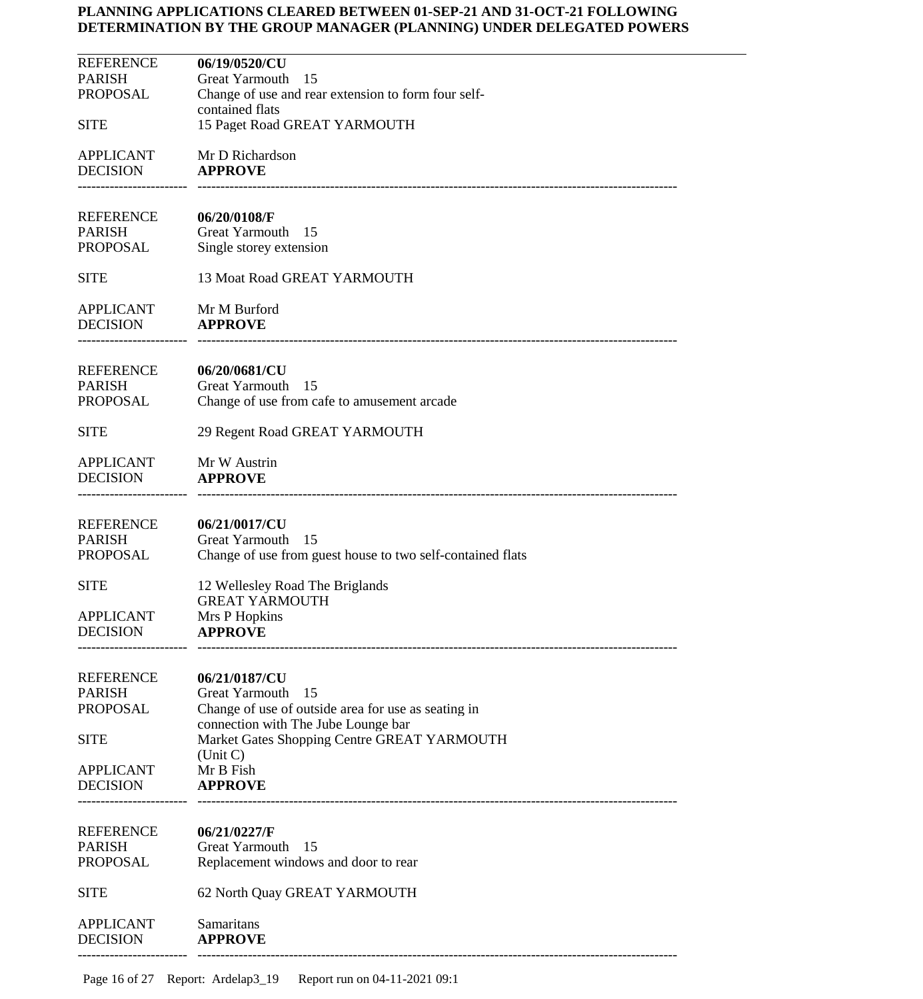| <b>REFERENCE</b><br><b>PARISH</b><br><b>PROPOSAL</b> | 06/19/0520/CU<br><b>Great Yarmouth</b><br>-15<br>Change of use and rear extension to form four self-                                |
|------------------------------------------------------|-------------------------------------------------------------------------------------------------------------------------------------|
| <b>SITE</b>                                          | contained flats<br>15 Paget Road GREAT YARMOUTH                                                                                     |
| <b>APPLICANT</b><br><b>DECISION</b>                  | Mr D Richardson<br><b>APPROVE</b>                                                                                                   |
| REFERENCE<br><b>PARISH</b><br>PROPOSAL               | 06/20/0108/F<br>Great Yarmouth<br>- 15<br>Single storey extension                                                                   |
| <b>SITE</b>                                          | 13 Moat Road GREAT YARMOUTH                                                                                                         |
| <b>APPLICANT</b><br><b>DECISION</b>                  | Mr M Burford<br><b>APPROVE</b>                                                                                                      |
| <b>REFERENCE</b><br><b>PARISH</b><br>PROPOSAL        | 06/20/0681/CU<br>Great Yarmouth<br>- 15<br>Change of use from cafe to amusement arcade                                              |
| <b>SITE</b>                                          | 29 Regent Road GREAT YARMOUTH                                                                                                       |
| <b>APPLICANT</b><br><b>DECISION</b>                  | Mr W Austrin<br><b>APPROVE</b>                                                                                                      |
| <b>REFERENCE</b><br><b>PARISH</b><br><b>PROPOSAL</b> | 06/21/0017/CU<br>Great Yarmouth 15<br>Change of use from guest house to two self-contained flats                                    |
| <b>SITE</b>                                          | 12 Wellesley Road The Briglands<br><b>GREAT YARMOUTH</b>                                                                            |
| <b>APPLICANT</b><br><b>DECISION</b>                  | Mrs P Hopkins<br><b>APPROVE</b>                                                                                                     |
| <b>REFERENCE</b><br><b>PARISH</b><br><b>PROPOSAL</b> | 06/21/0187/CU<br>Great Yarmouth<br>15<br>Change of use of outside area for use as seating in<br>connection with The Jube Lounge bar |
| <b>SITE</b>                                          | Market Gates Shopping Centre GREAT YARMOUTH<br>(Unit C)                                                                             |
| <b>APPLICANT</b><br><b>DECISION</b>                  | Mr B Fish<br><b>APPROVE</b>                                                                                                         |
| <b>REFERENCE</b><br><b>PARISH</b><br><b>PROPOSAL</b> | 06/21/0227/F<br>Great Yarmouth<br>-15<br>Replacement windows and door to rear                                                       |
| <b>SITE</b>                                          | 62 North Quay GREAT YARMOUTH                                                                                                        |
| <b>APPLICANT</b><br><b>DECISION</b>                  | Samaritans<br><b>APPROVE</b>                                                                                                        |
|                                                      |                                                                                                                                     |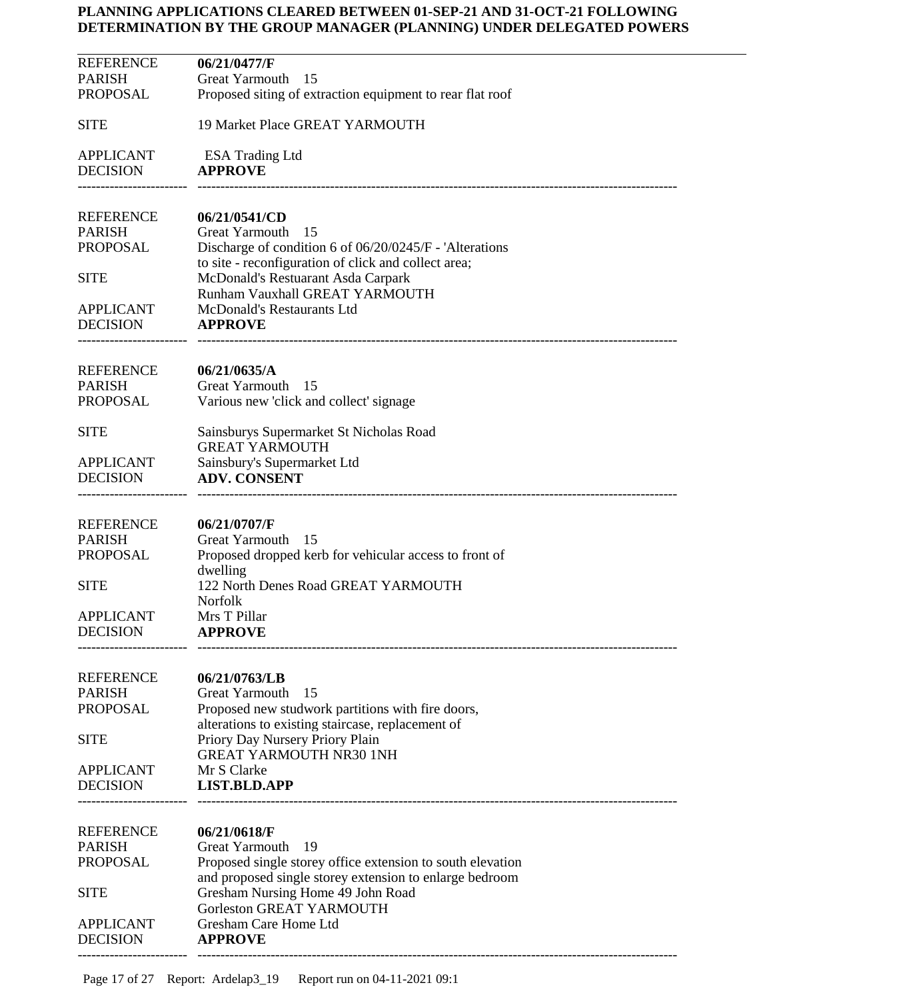| REFERENCE           | 06/21/0477/F                                                                               |
|---------------------|--------------------------------------------------------------------------------------------|
| PARISH              | Great Yarmouth<br>- 15                                                                     |
| PROPOSAL            | Proposed siting of extraction equipment to rear flat roof                                  |
|                     |                                                                                            |
| SITE                | 19 Market Place GREAT YARMOUTH                                                             |
|                     |                                                                                            |
| APPLICANT           | <b>ESA Trading Ltd</b>                                                                     |
| DECISION            | <b>APPROVE</b>                                                                             |
|                     |                                                                                            |
|                     |                                                                                            |
| REFERENCE           | 06/21/0541/CD                                                                              |
| PARISH              | <b>Great Yarmouth</b><br>-15                                                               |
| PROPOSAL            | Discharge of condition 6 of 06/20/0245/F - 'Alterations'                                   |
| SITE                | to site - reconfiguration of click and collect area;<br>McDonald's Restuarant Asda Carpark |
|                     | Runham Vauxhall GREAT YARMOUTH                                                             |
| APPLICANT           | McDonald's Restaurants Ltd                                                                 |
| DECISION            | <b>APPROVE</b>                                                                             |
|                     |                                                                                            |
|                     |                                                                                            |
| REFERENCE           | 06/21/0635/A                                                                               |
| <b>PARISH</b>       | Great Yarmouth<br>- 15                                                                     |
| PROPOSAL            | Various new 'click and collect' signage                                                    |
|                     |                                                                                            |
| SITE                | Sainsburys Supermarket St Nicholas Road                                                    |
|                     | <b>GREAT YARMOUTH</b>                                                                      |
| APPLICANT           | Sainsbury's Supermarket Ltd                                                                |
| DECISION            | <b>ADV. CONSENT</b>                                                                        |
|                     |                                                                                            |
|                     |                                                                                            |
| REFERENCE<br>PARISH | 06/21/0707/F<br>Great Yarmouth<br>- 15                                                     |
| PROPOSAL            | Proposed dropped kerb for vehicular access to front of                                     |
|                     | dwelling                                                                                   |
| SITE                | 122 North Denes Road GREAT YARMOUTH                                                        |
|                     | Norfolk                                                                                    |
| APPLICANT           | Mrs T Pillar                                                                               |
| DECISION            | <b>APPROVE</b>                                                                             |
|                     |                                                                                            |
|                     |                                                                                            |
| REFERENCE           | 06/21/0763/LB                                                                              |
| PARISH              | <b>Great Yarmouth</b><br>15                                                                |
| PROPOSAL            | Proposed new studwork partitions with fire doors,                                          |
|                     | alterations to existing staircase, replacement of                                          |
| SITE                | Priory Day Nursery Priory Plain                                                            |
|                     | <b>GREAT YARMOUTH NR30 1NH</b>                                                             |
| APPLICANT           | Mr S Clarke                                                                                |
| DECISION            | <b>LIST.BLD.APP</b>                                                                        |
|                     |                                                                                            |
|                     |                                                                                            |
| REFERENCE           | 06/21/0618/F                                                                               |
| PARISH              | Great Yarmouth<br>19                                                                       |
| PROPOSAL            | Proposed single storey office extension to south elevation                                 |
|                     | and proposed single storey extension to enlarge bedroom                                    |
| SITE                | Gresham Nursing Home 49 John Road<br>Gorleston GREAT YARMOUTH                              |
| APPLICANT           | Gresham Care Home Ltd                                                                      |
| DECISION            | <b>APPROVE</b>                                                                             |
|                     |                                                                                            |
|                     |                                                                                            |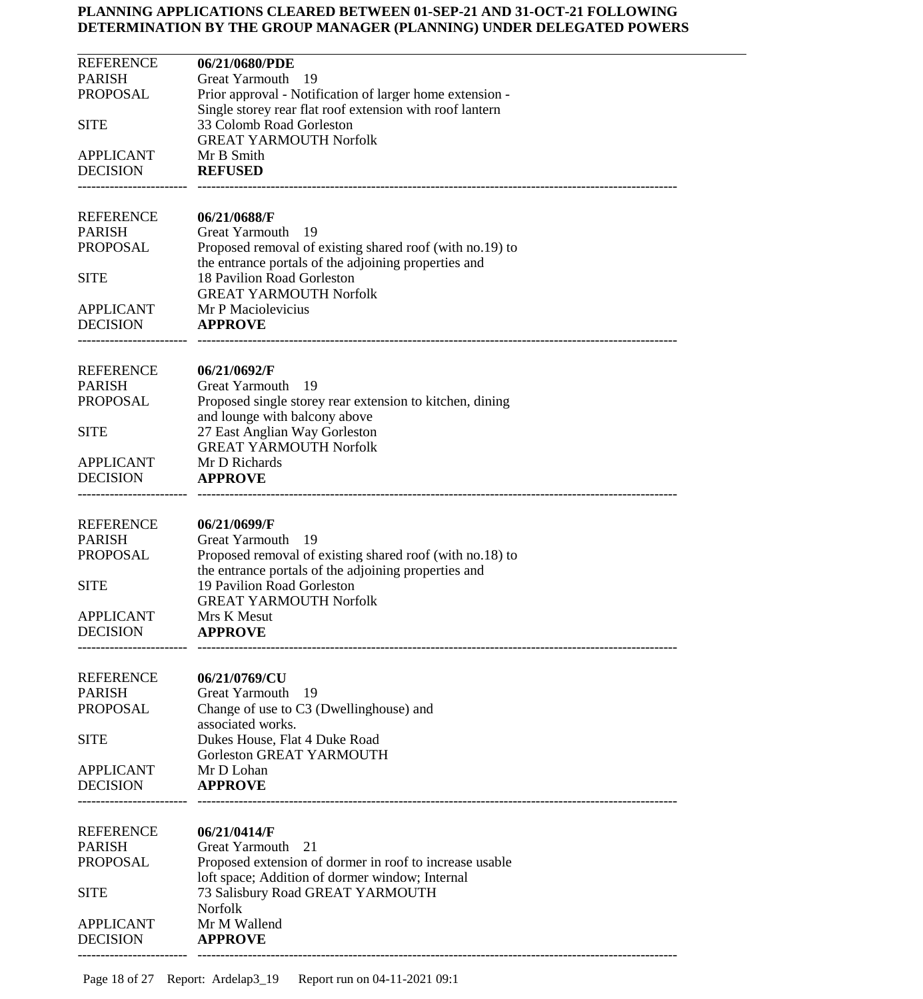| <b>REFERENCE</b>                    | 06/21/0680/PDE                                                                            |
|-------------------------------------|-------------------------------------------------------------------------------------------|
| <b>PARISH</b><br><b>PROPOSAL</b>    | Great Yarmouth<br>- 19<br>Prior approval - Notification of larger home extension -        |
|                                     | Single storey rear flat roof extension with roof lantern                                  |
| <b>SITE</b>                         | 33 Colomb Road Gorleston                                                                  |
| <b>APPLICANT</b>                    | <b>GREAT YARMOUTH Norfolk</b><br>Mr B Smith                                               |
| <b>DECISION</b>                     | <b>REFUSED</b>                                                                            |
|                                     |                                                                                           |
| <b>REFERENCE</b>                    | 06/21/0688/F                                                                              |
| <b>PARISH</b>                       | <b>Great Yarmouth</b><br>-19                                                              |
| <b>PROPOSAL</b>                     | Proposed removal of existing shared roof (with no.19) to                                  |
| <b>SITE</b>                         | the entrance portals of the adjoining properties and<br>18 Pavilion Road Gorleston        |
|                                     | <b>GREAT YARMOUTH Norfolk</b>                                                             |
| <b>APPLICANT</b>                    | Mr P Maciolevicius                                                                        |
| <b>DECISION</b>                     | <b>APPROVE</b>                                                                            |
|                                     |                                                                                           |
| <b>REFERENCE</b>                    | 06/21/0692/F                                                                              |
| <b>PARISH</b><br><b>PROPOSAL</b>    | <b>Great Yarmouth</b><br>- 19                                                             |
|                                     | Proposed single storey rear extension to kitchen, dining<br>and lounge with balcony above |
| <b>SITE</b>                         | 27 East Anglian Way Gorleston                                                             |
|                                     | <b>GREAT YARMOUTH Norfolk</b>                                                             |
| <b>APPLICANT</b>                    | Mr D Richards                                                                             |
| <b>DECISION</b>                     | <b>APPROVE</b>                                                                            |
| <b>REFERENCE</b>                    | 06/21/0699/F                                                                              |
| <b>PARISH</b>                       | <b>Great Yarmouth</b><br>-19                                                              |
| <b>PROPOSAL</b>                     | Proposed removal of existing shared roof (with no.18) to                                  |
|                                     | the entrance portals of the adjoining properties and                                      |
| <b>SITE</b>                         | 19 Pavilion Road Gorleston<br><b>GREAT YARMOUTH Norfolk</b>                               |
| <b>APPLICANT</b>                    | Mrs K Mesut                                                                               |
| <b>DECISION</b>                     | <b>APPROVE</b>                                                                            |
|                                     |                                                                                           |
| <b>REFERENCE</b>                    | 06/21/0769/CU                                                                             |
| <b>PARISH</b>                       | Great Yarmouth<br>19                                                                      |
| <b>PROPOSAL</b>                     | Change of use to C3 (Dwellinghouse) and                                                   |
| <b>SITE</b>                         | associated works.<br>Dukes House, Flat 4 Duke Road                                        |
|                                     | Gorleston GREAT YARMOUTH                                                                  |
| <b>APPLICANT</b>                    | Mr D Lohan                                                                                |
| <b>DECISION</b>                     | <b>APPROVE</b>                                                                            |
|                                     |                                                                                           |
| <b>REFERENCE</b>                    | 06/21/0414/F                                                                              |
| <b>PARISH</b><br><b>PROPOSAL</b>    | <b>Great Yarmouth</b><br>21<br>Proposed extension of dormer in roof to increase usable    |
|                                     | loft space; Addition of dormer window; Internal                                           |
| <b>SITE</b>                         | 73 Salisbury Road GREAT YARMOUTH                                                          |
|                                     | Norfolk                                                                                   |
| <b>APPLICANT</b><br><b>DECISION</b> | Mr M Wallend<br><b>APPROVE</b>                                                            |
|                                     |                                                                                           |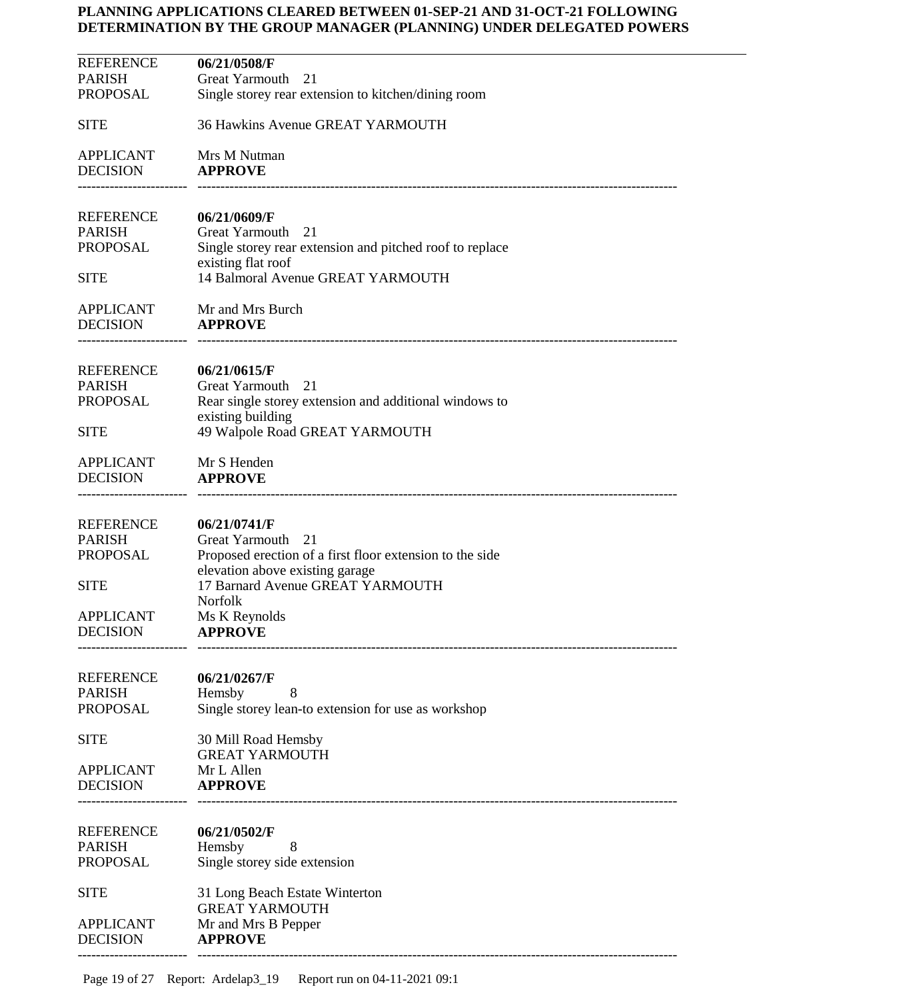| <b>REFERENCE</b> | 06/21/0508/F                                             |
|------------------|----------------------------------------------------------|
| PARISH           |                                                          |
|                  | Great Yarmouth<br>21                                     |
| PROPOSAL         | Single storey rear extension to kitchen/dining room      |
|                  |                                                          |
| SITE             | 36 Hawkins Avenue GREAT YARMOUTH                         |
|                  |                                                          |
|                  |                                                          |
| APPLICANT        | Mrs M Nutman                                             |
| <b>DECISION</b>  | <b>APPROVE</b>                                           |
|                  |                                                          |
|                  |                                                          |
| REFERENCE        | 06/21/0609/F                                             |
|                  |                                                          |
| PARISH           | Great Yarmouth<br>21                                     |
| PROPOSAL         | Single storey rear extension and pitched roof to replace |
|                  | existing flat roof                                       |
| SITE             | 14 Balmoral Avenue GREAT YARMOUTH                        |
|                  |                                                          |
|                  |                                                          |
| <b>APPLICANT</b> | Mr and Mrs Burch                                         |
| <b>DECISION</b>  | <b>APPROVE</b>                                           |
|                  |                                                          |
|                  |                                                          |
|                  |                                                          |
| REFERENCE        | 06/21/0615/F                                             |
| PARISH           | Great Yarmouth<br>21                                     |
| PROPOSAL         | Rear single storey extension and additional windows to   |
|                  | existing building                                        |
|                  |                                                          |
| SITE             | 49 Walpole Road GREAT YARMOUTH                           |
|                  |                                                          |
| APPLICANT        | Mr S Henden                                              |
| <b>DECISION</b>  | <b>APPROVE</b>                                           |
|                  |                                                          |
|                  |                                                          |
|                  |                                                          |
| REFERENCE        | 06/21/0741/F                                             |
| PARISH           | Great Yarmouth<br>21                                     |
| PROPOSAL         | Proposed erection of a first floor extension to the side |
|                  | elevation above existing garage                          |
|                  |                                                          |
| SITE             | 17 Barnard Avenue GREAT YARMOUTH                         |
|                  | <b>Norfolk</b>                                           |
| <b>APPLICANT</b> | Ms K Reynolds                                            |
| DECISION         | <b>APPROVE</b>                                           |
|                  |                                                          |
|                  |                                                          |
|                  |                                                          |
| REFERENCE        | 06/21/0267/F                                             |
| <b>PARISH</b>    | 8<br>Hemsby                                              |
| PROPOSAL         | Single storey lean-to extension for use as workshop      |
|                  |                                                          |
|                  |                                                          |
| SITE             | 30 Mill Road Hemsby                                      |
|                  | <b>GREAT YARMOUTH</b>                                    |
| APPLICANT        | Mr L Allen                                               |
| <b>DECISION</b>  | <b>APPROVE</b>                                           |
|                  |                                                          |
|                  |                                                          |
|                  |                                                          |
| REFERENCE        | 06/21/0502/F                                             |
| <b>PARISH</b>    | Hemsby<br>8                                              |
| PROPOSAL         | Single storey side extension                             |
|                  |                                                          |
|                  |                                                          |
| SITE             | 31 Long Beach Estate Winterton                           |
|                  | <b>GREAT YARMOUTH</b>                                    |
| <b>APPLICANT</b> | Mr and Mrs B Pepper                                      |
| DECISION         | <b>APPROVE</b>                                           |
|                  |                                                          |
|                  |                                                          |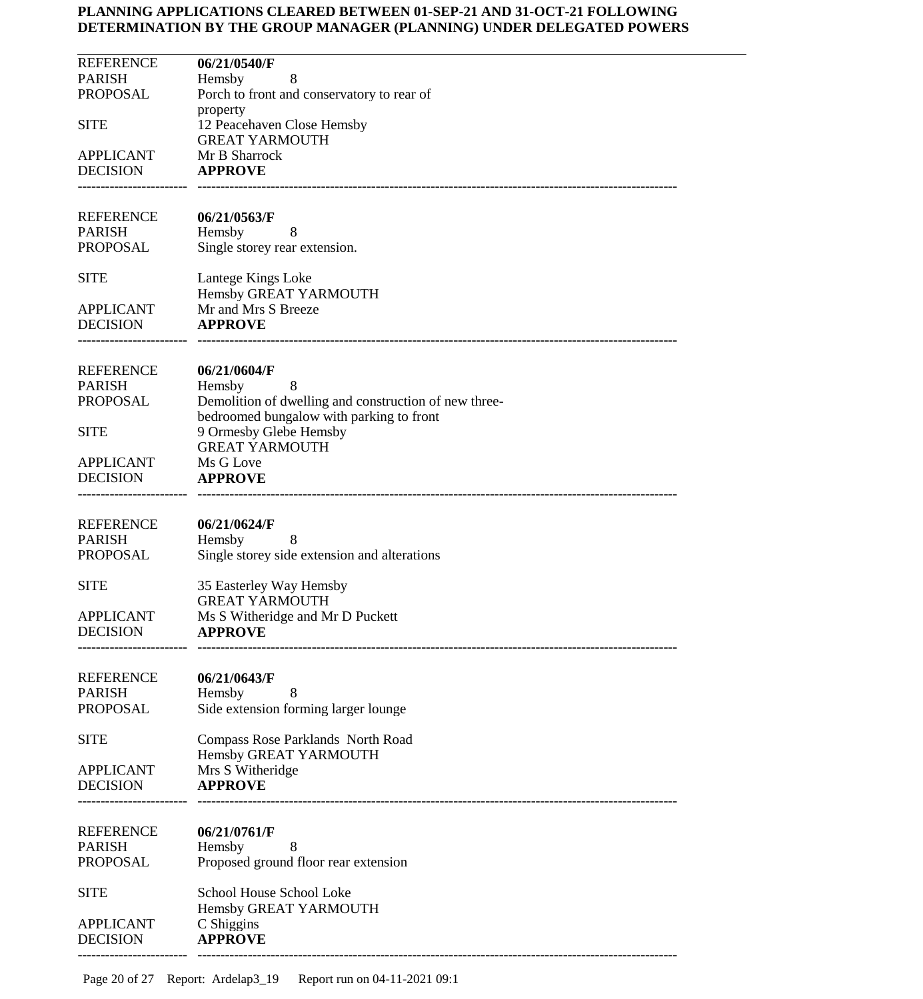| <b>REFERENCE</b><br><b>PARISH</b>   | 06/21/0540/F<br>8<br>Hemsby                                                                       |
|-------------------------------------|---------------------------------------------------------------------------------------------------|
| <b>PROPOSAL</b>                     | Porch to front and conservatory to rear of                                                        |
| <b>SITE</b>                         | property<br>12 Peacehaven Close Hemsby                                                            |
|                                     | <b>GREAT YARMOUTH</b>                                                                             |
| <b>APPLICANT</b><br><b>DECISION</b> | Mr B Sharrock<br><b>APPROVE</b>                                                                   |
|                                     |                                                                                                   |
| REFERENCE                           | 06/21/0563/F                                                                                      |
| <b>PARISH</b>                       | Hemsby<br>8                                                                                       |
| PROPOSAL                            | Single storey rear extension.                                                                     |
| <b>SITE</b>                         | Lantege Kings Loke                                                                                |
| <b>APPLICANT</b>                    | Hemsby GREAT YARMOUTH<br>Mr and Mrs S Breeze                                                      |
| <b>DECISION</b>                     | <b>APPROVE</b>                                                                                    |
|                                     |                                                                                                   |
| <b>REFERENCE</b>                    | 06/21/0604/F                                                                                      |
| <b>PARISH</b>                       | Hemsby<br>8                                                                                       |
| <b>PROPOSAL</b>                     | Demolition of dwelling and construction of new three-<br>bedroomed bungalow with parking to front |
| <b>SITE</b>                         | 9 Ormesby Glebe Hemsby                                                                            |
| <b>APPLICANT</b>                    | <b>GREAT YARMOUTH</b><br>Ms G Love                                                                |
| <b>DECISION</b>                     | <b>APPROVE</b>                                                                                    |
|                                     |                                                                                                   |
| <b>REFERENCE</b>                    | 06/21/0624/F                                                                                      |
| <b>PARISH</b>                       | Hemsby<br>8                                                                                       |
| <b>PROPOSAL</b>                     | Single storey side extension and alterations                                                      |
| <b>SITE</b>                         | 35 Easterley Way Hemsby                                                                           |
| <b>APPLICANT</b>                    | <b>GREAT YARMOUTH</b><br>Ms S Witheridge and Mr D Puckett                                         |
| <b>DECISION</b>                     | <b>APPROVE</b>                                                                                    |
|                                     |                                                                                                   |
| <b>REFERENCE</b>                    | 06/21/0643/F                                                                                      |
| <b>PARISH</b><br><b>PROPOSAL</b>    | Hemsby<br>8                                                                                       |
|                                     | Side extension forming larger lounge                                                              |
| <b>SITE</b>                         | Compass Rose Parklands North Road                                                                 |
| <b>APPLICANT</b>                    | Hemsby GREAT YARMOUTH<br>Mrs S Witheridge                                                         |
| <b>DECISION</b>                     | <b>APPROVE</b>                                                                                    |
|                                     |                                                                                                   |
| <b>REFERENCE</b>                    | 06/21/0761/F                                                                                      |
| <b>PARISH</b><br><b>PROPOSAL</b>    | Hemsby<br>8<br>Proposed ground floor rear extension                                               |
|                                     |                                                                                                   |
| <b>SITE</b>                         | School House School Loke                                                                          |
| <b>APPLICANT</b>                    | Hemsby GREAT YARMOUTH<br>C Shiggins                                                               |
| <b>DECISION</b>                     | <b>APPROVE</b>                                                                                    |
|                                     |                                                                                                   |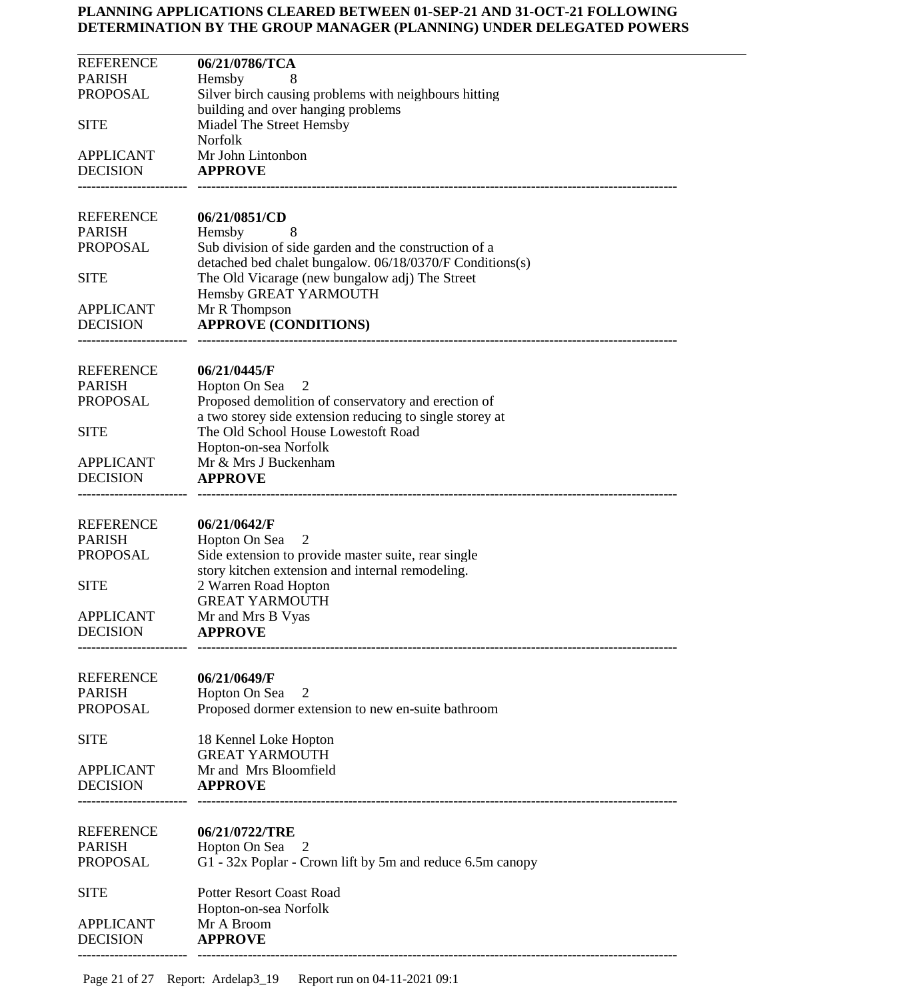| <b>REFERENCE</b><br><b>PARISH</b>   | 06/21/0786/TCA                                                                                                  |
|-------------------------------------|-----------------------------------------------------------------------------------------------------------------|
| <b>PROPOSAL</b>                     | Hemsby<br>Silver birch causing problems with neighbours hitting                                                 |
|                                     | building and over hanging problems                                                                              |
| <b>SITE</b>                         | Miadel The Street Hemsby<br><b>Norfolk</b>                                                                      |
| <b>APPLICANT</b>                    | Mr John Lintonbon                                                                                               |
| <b>DECISION</b>                     | <b>APPROVE</b>                                                                                                  |
|                                     |                                                                                                                 |
| <b>REFERENCE</b><br><b>PARISH</b>   | 06/21/0851/CD<br>8                                                                                              |
| <b>PROPOSAL</b>                     | Hemsby<br>Sub division of side garden and the construction of a                                                 |
|                                     | detached bed chalet bungalow. 06/18/0370/F Conditions(s)                                                        |
| <b>SITE</b>                         | The Old Vicarage (new bungalow adj) The Street                                                                  |
| <b>APPLICANT</b>                    | Hemsby GREAT YARMOUTH<br>Mr R Thompson                                                                          |
| <b>DECISION</b>                     | <b>APPROVE (CONDITIONS)</b>                                                                                     |
|                                     |                                                                                                                 |
| <b>REFERENCE</b>                    | 06/21/0445/F                                                                                                    |
| <b>PARISH</b>                       | Hopton On Sea<br>2                                                                                              |
| <b>PROPOSAL</b>                     | Proposed demolition of conservatory and erection of<br>a two storey side extension reducing to single storey at |
| <b>SITE</b>                         | The Old School House Lowestoft Road                                                                             |
|                                     | Hopton-on-sea Norfolk                                                                                           |
| <b>APPLICANT</b><br><b>DECISION</b> | Mr & Mrs J Buckenham<br><b>APPROVE</b>                                                                          |
|                                     |                                                                                                                 |
| <b>REFERENCE</b>                    | 06/21/0642/F                                                                                                    |
| <b>PARISH</b>                       | Hopton On Sea<br>2                                                                                              |
| <b>PROPOSAL</b>                     | Side extension to provide master suite, rear single                                                             |
| <b>SITE</b>                         | story kitchen extension and internal remodeling.<br>2 Warren Road Hopton                                        |
|                                     | <b>GREAT YARMOUTH</b>                                                                                           |
| <b>APPLICANT</b>                    | Mr and Mrs B Vyas                                                                                               |
| <b>DECISION</b>                     | <b>APPROVE</b>                                                                                                  |
|                                     |                                                                                                                 |
| <b>REFERENCE</b><br><b>PARISH</b>   | 06/21/0649/F<br>Hopton On Sea<br>2                                                                              |
| <b>PROPOSAL</b>                     | Proposed dormer extension to new en-suite bathroom                                                              |
| <b>SITE</b>                         | 18 Kennel Loke Hopton                                                                                           |
| <b>APPLICANT</b>                    | <b>GREAT YARMOUTH</b><br>Mr and Mrs Bloomfield                                                                  |
| <b>DECISION</b>                     | <b>APPROVE</b>                                                                                                  |
|                                     |                                                                                                                 |
| <b>REFERENCE</b>                    | 06/21/0722/TRE                                                                                                  |
| <b>PARISH</b>                       | Hopton On Sea<br>$\mathbf{z}$                                                                                   |
| <b>PROPOSAL</b>                     | G1 - 32x Poplar - Crown lift by 5m and reduce 6.5m canopy                                                       |
| <b>SITE</b>                         | <b>Potter Resort Coast Road</b>                                                                                 |
|                                     | Hopton-on-sea Norfolk                                                                                           |
| <b>APPLICANT</b><br><b>DECISION</b> | Mr A Broom<br><b>APPROVE</b>                                                                                    |
|                                     |                                                                                                                 |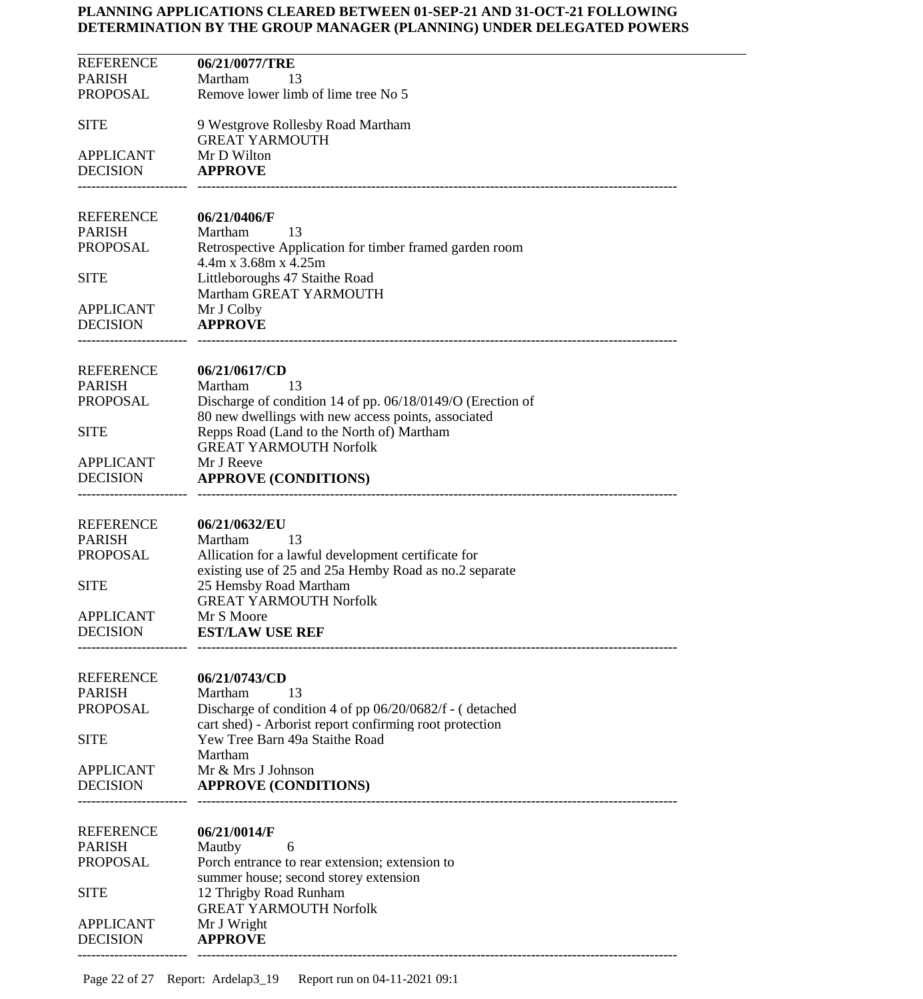| <b>REFERENCE</b> | 06/21/0077/TRE                                             |
|------------------|------------------------------------------------------------|
| <b>PARISH</b>    | Martham<br>13                                              |
| PROPOSAL         | Remove lower limb of lime tree No 5                        |
|                  |                                                            |
| <b>SITE</b>      | 9 Westgrove Rollesby Road Martham                          |
|                  | <b>GREAT YARMOUTH</b>                                      |
| <b>APPLICANT</b> | Mr D Wilton                                                |
| <b>DECISION</b>  | <b>APPROVE</b>                                             |
|                  |                                                            |
|                  |                                                            |
| <b>REFERENCE</b> | 06/21/0406/F                                               |
| <b>PARISH</b>    | Martham<br>13                                              |
| PROPOSAL         | Retrospective Application for timber framed garden room    |
|                  | $4.4m \times 3.68m \times 4.25m$                           |
| <b>SITE</b>      | Littleboroughs 47 Staithe Road                             |
|                  | Martham GREAT YARMOUTH                                     |
| <b>APPLICANT</b> | Mr J Colby                                                 |
| <b>DECISION</b>  | <b>APPROVE</b>                                             |
|                  |                                                            |
|                  |                                                            |
| REFERENCE        | 06/21/0617/CD                                              |
| <b>PARISH</b>    | Martham<br>13                                              |
| <b>PROPOSAL</b>  | Discharge of condition 14 of pp. 06/18/0149/O (Erection of |
|                  | 80 new dwellings with new access points, associated        |
| <b>SITE</b>      | Repps Road (Land to the North of) Martham                  |
|                  | <b>GREAT YARMOUTH Norfolk</b>                              |
| <b>APPLICANT</b> | Mr J Reeve                                                 |
| <b>DECISION</b>  | <b>APPROVE (CONDITIONS)</b>                                |
|                  |                                                            |
|                  |                                                            |
| <b>REFERENCE</b> | 06/21/0632/EU                                              |
| <b>PARISH</b>    | Martham<br>13                                              |
| PROPOSAL         | Allication for a lawful development certificate for        |
|                  | existing use of 25 and 25a Hemby Road as no.2 separate     |
| <b>SITE</b>      | 25 Hemsby Road Martham                                     |
|                  | <b>GREAT YARMOUTH Norfolk</b>                              |
| <b>APPLICANT</b> | Mr S Moore                                                 |
| <b>DECISION</b>  | <b>EST/LAW USE REF</b>                                     |
|                  |                                                            |
|                  |                                                            |
| <b>REFERENCE</b> | 06/21/0743/CD                                              |
| <b>PARISH</b>    | Martham<br>13                                              |
| <b>PROPOSAL</b>  | Discharge of condition 4 of pp 06/20/0682/f - (detached    |
|                  | cart shed) - Arborist report confirming root protection    |
| <b>SITE</b>      | Yew Tree Barn 49a Staithe Road                             |
|                  | Martham                                                    |
| <b>APPLICANT</b> | Mr & Mrs J Johnson                                         |
| <b>DECISION</b>  | <b>APPROVE (CONDITIONS)</b>                                |
|                  |                                                            |
|                  |                                                            |
| <b>REFERENCE</b> | 06/21/0014/F                                               |
| <b>PARISH</b>    | Mautby<br>6                                                |
| <b>PROPOSAL</b>  | Porch entrance to rear extension; extension to             |
|                  | summer house; second storey extension                      |
| <b>SITE</b>      | 12 Thrigby Road Runham                                     |
|                  | <b>GREAT YARMOUTH Norfolk</b>                              |
| <b>APPLICANT</b> | Mr J Wright                                                |
| <b>DECISION</b>  | <b>APPROVE</b>                                             |
|                  |                                                            |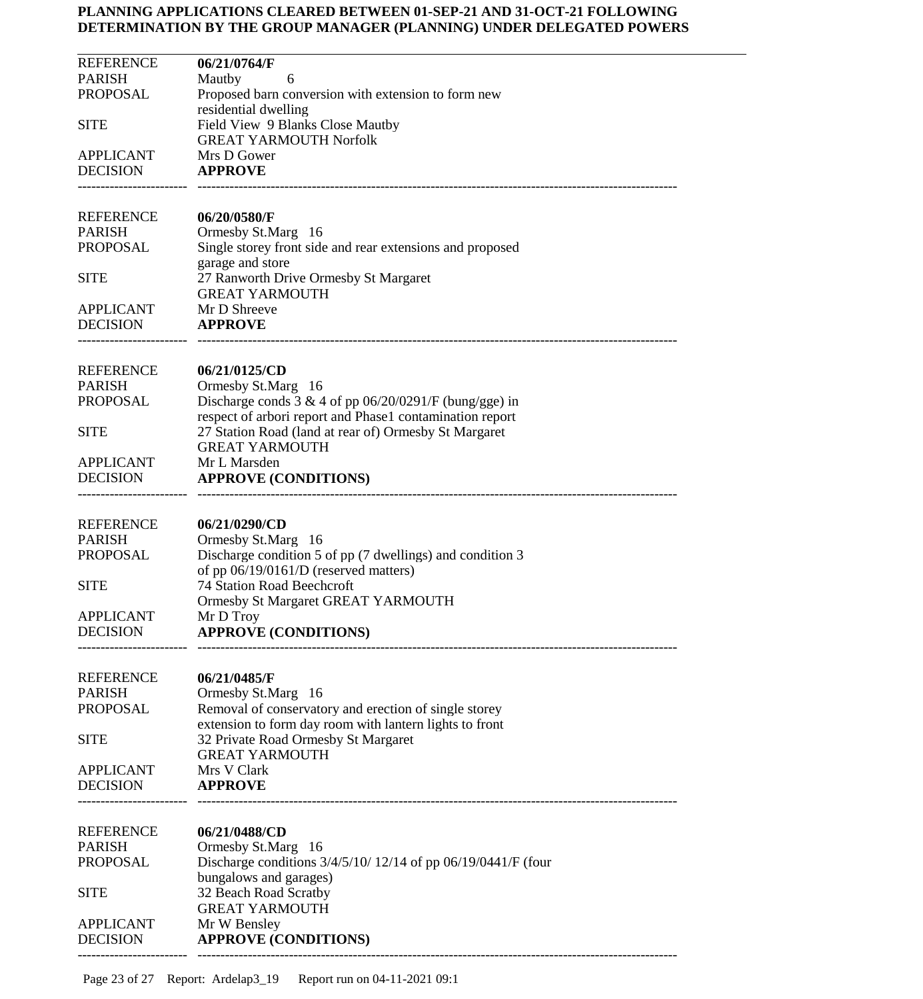| <b>REFERENCE</b><br><b>PARISH</b><br><b>PROPOSAL</b><br><b>SITE</b> | 06/21/0764/F<br>Mautby<br>6<br>Proposed barn conversion with extension to form new<br>residential dwelling<br>Field View 9 Blanks Close Mautby<br><b>GREAT YARMOUTH Norfolk</b> |
|---------------------------------------------------------------------|---------------------------------------------------------------------------------------------------------------------------------------------------------------------------------|
| <b>APPLICANT</b><br><b>DECISION</b>                                 | Mrs D Gower<br><b>APPROVE</b>                                                                                                                                                   |
| <b>REFERENCE</b><br><b>PARISH</b><br><b>PROPOSAL</b>                | 06/20/0580/F<br>Ormesby St.Marg 16<br>Single storey front side and rear extensions and proposed<br>garage and store                                                             |
| <b>SITE</b><br><b>APPLICANT</b>                                     | 27 Ranworth Drive Ormesby St Margaret<br><b>GREAT YARMOUTH</b><br>Mr D Shreeve                                                                                                  |
| <b>DECISION</b>                                                     | <b>APPROVE</b>                                                                                                                                                                  |
| <b>REFERENCE</b><br><b>PARISH</b><br><b>PROPOSAL</b>                | 06/21/0125/CD<br>Ormesby St.Marg 16<br>Discharge conds $3 & 4$ of pp 06/20/0291/F (bung/gge) in<br>respect of arbori report and Phase1 contamination report                     |
| <b>SITE</b><br><b>APPLICANT</b>                                     | 27 Station Road (land at rear of) Ormesby St Margaret<br><b>GREAT YARMOUTH</b><br>Mr L Marsden                                                                                  |
| <b>DECISION</b>                                                     | <b>APPROVE (CONDITIONS)</b>                                                                                                                                                     |
| <b>REFERENCE</b><br><b>PARISH</b><br><b>PROPOSAL</b>                | 06/21/0290/CD<br>Ormesby St.Marg 16<br>Discharge condition 5 of pp (7 dwellings) and condition 3<br>of pp 06/19/0161/D (reserved matters)                                       |
| <b>SITE</b><br><b>APPLICANT</b>                                     | 74 Station Road Beechcroft<br>Ormesby St Margaret GREAT YARMOUTH<br>Mr D Troy                                                                                                   |
| <b>DECISION</b>                                                     | <b>APPROVE (CONDITIONS)</b>                                                                                                                                                     |
| <b>REFERENCE</b><br><b>PARISH</b><br><b>PROPOSAL</b>                | 06/21/0485/F<br>Ormesby St.Marg 16<br>Removal of conservatory and erection of single storey<br>extension to form day room with lantern lights to front                          |
| <b>SITE</b><br><b>APPLICANT</b>                                     | 32 Private Road Ormesby St Margaret<br><b>GREAT YARMOUTH</b><br>Mrs V Clark                                                                                                     |
| <b>DECISION</b>                                                     | <b>APPROVE</b>                                                                                                                                                                  |
| <b>REFERENCE</b><br><b>PARISH</b><br><b>PROPOSAL</b>                | 06/21/0488/CD<br>Ormesby St.Marg 16<br>Discharge conditions $3/4/5/10/12/14$ of pp 06/19/0441/F (four<br>bungalows and garages)                                                 |
| <b>SITE</b><br><b>APPLICANT</b>                                     | 32 Beach Road Scratby<br><b>GREAT YARMOUTH</b><br>Mr W Bensley                                                                                                                  |
| <b>DECISION</b>                                                     | <b>APPROVE (CONDITIONS)</b>                                                                                                                                                     |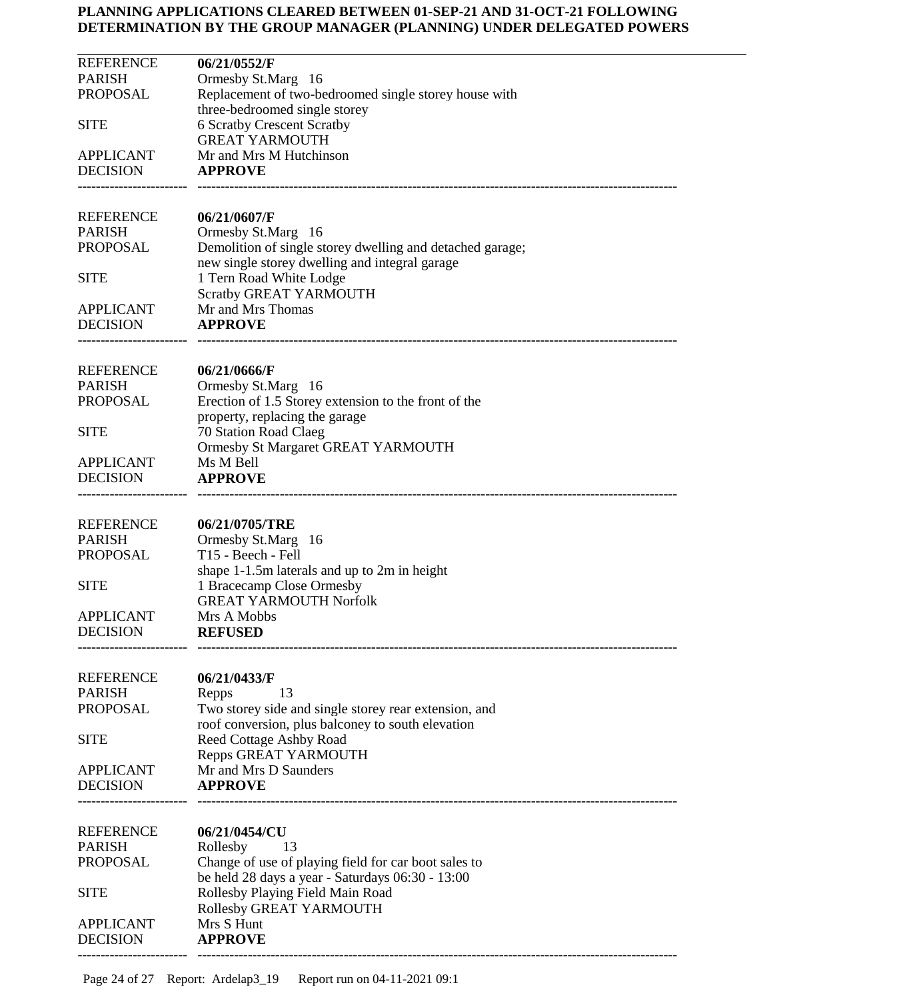| <b>REFERENCE</b>                    | 06/21/0552/F                                                                           |
|-------------------------------------|----------------------------------------------------------------------------------------|
| <b>PARISH</b><br><b>PROPOSAL</b>    | Ormesby St.Marg 16<br>Replacement of two-bedroomed single storey house with            |
|                                     | three-bedroomed single storey                                                          |
| <b>SITE</b>                         | <b>6 Scratby Crescent Scratby</b>                                                      |
|                                     | <b>GREAT YARMOUTH</b>                                                                  |
| <b>APPLICANT</b><br><b>DECISION</b> | Mr and Mrs M Hutchinson<br><b>APPROVE</b>                                              |
|                                     |                                                                                        |
| <b>REFERENCE</b>                    | 06/21/0607/F                                                                           |
| <b>PARISH</b>                       | Ormesby St.Marg 16                                                                     |
| <b>PROPOSAL</b>                     | Demolition of single storey dwelling and detached garage;                              |
|                                     | new single storey dwelling and integral garage                                         |
| <b>SITE</b>                         | 1 Tern Road White Lodge<br>Scratby GREAT YARMOUTH                                      |
| <b>APPLICANT</b>                    | Mr and Mrs Thomas                                                                      |
| <b>DECISION</b>                     | <b>APPROVE</b>                                                                         |
|                                     |                                                                                        |
| REFERENCE                           | 06/21/0666/F                                                                           |
| <b>PARISH</b><br><b>PROPOSAL</b>    | Ormesby St.Marg 16                                                                     |
|                                     | Erection of 1.5 Storey extension to the front of the<br>property, replacing the garage |
| <b>SITE</b>                         | 70 Station Road Claeg                                                                  |
|                                     | Ormesby St Margaret GREAT YARMOUTH                                                     |
| <b>APPLICANT</b>                    | Ms M Bell                                                                              |
| <b>DECISION</b>                     | <b>APPROVE</b>                                                                         |
| <b>REFERENCE</b>                    | 06/21/0705/TRE                                                                         |
| <b>PARISH</b>                       | Ormesby St.Marg 16                                                                     |
| <b>PROPOSAL</b>                     | T15 - Beech - Fell                                                                     |
|                                     | shape 1-1.5m laterals and up to 2m in height                                           |
| <b>SITE</b>                         | 1 Bracecamp Close Ormesby<br><b>GREAT YARMOUTH Norfolk</b>                             |
| <b>APPLICANT</b>                    | Mrs A Mobbs                                                                            |
| <b>DECISION</b>                     | <b>REFUSED</b>                                                                         |
|                                     |                                                                                        |
| <b>REFERENCE</b>                    | 06/21/0433/F                                                                           |
| <b>PARISH</b><br><b>PROPOSAL</b>    | 13<br>Repps<br>Two storey side and single storey rear extension, and                   |
|                                     | roof conversion, plus balconey to south elevation                                      |
| <b>SITE</b>                         | <b>Reed Cottage Ashby Road</b>                                                         |
|                                     | Repps GREAT YARMOUTH                                                                   |
| <b>APPLICANT</b>                    | Mr and Mrs D Saunders                                                                  |
| <b>DECISION</b>                     | <b>APPROVE</b>                                                                         |
| <b>REFERENCE</b>                    | 06/21/0454/CU                                                                          |
| <b>PARISH</b>                       | Rollesby<br>13                                                                         |
| <b>PROPOSAL</b>                     | Change of use of playing field for car boot sales to                                   |
| <b>SITE</b>                         | be held 28 days a year - Saturdays 06:30 - 13:00                                       |
|                                     | Rollesby Playing Field Main Road<br>Rollesby GREAT YARMOUTH                            |
| <b>APPLICANT</b>                    | Mrs S Hunt                                                                             |
| <b>DECISION</b>                     | <b>APPROVE</b>                                                                         |
|                                     |                                                                                        |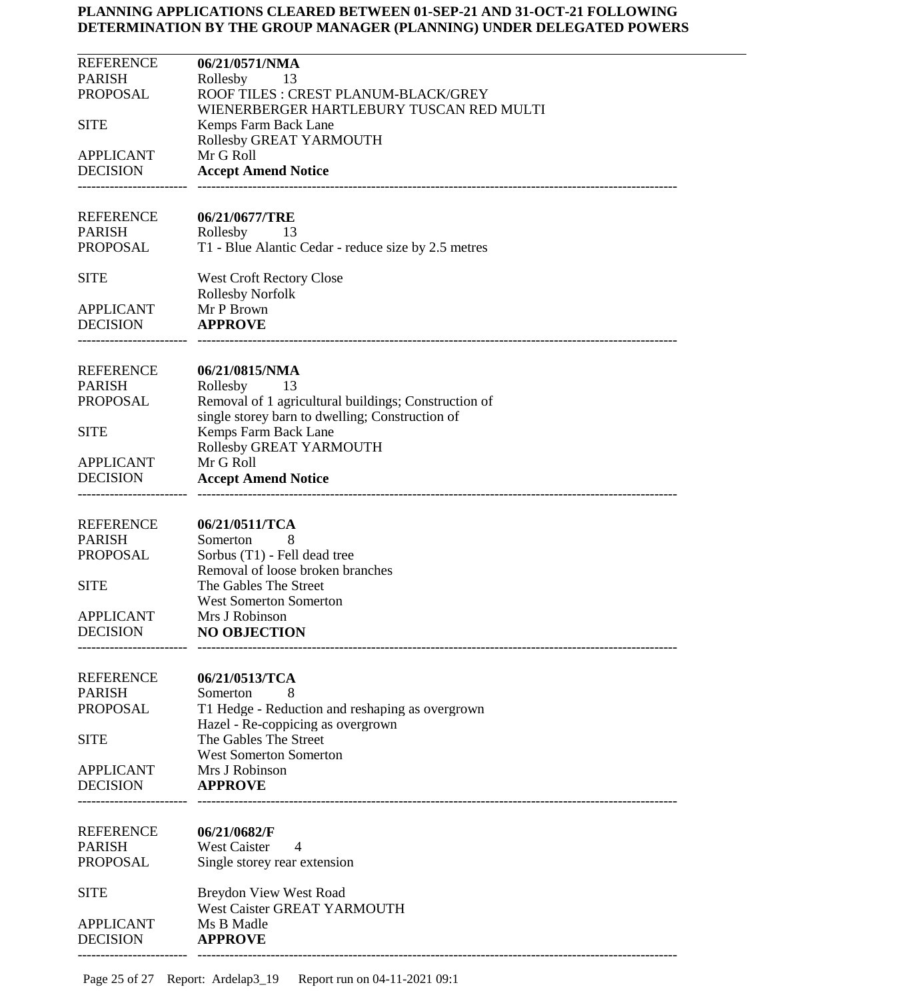| <b>PARISH</b><br>Rollesby<br>13<br><b>PROPOSAL</b><br>ROOF TILES : CREST PLANUM-BLACK/GREY<br>WIENERBERGER HARTLEBURY TUSCAN RED MULTI<br><b>SITE</b><br>Kemps Farm Back Lane<br>Rollesby GREAT YARMOUTH<br>Mr G Roll<br><b>APPLICANT</b><br><b>DECISION</b><br><b>Accept Amend Notice</b><br><b>REFERENCE</b><br>06/21/0677/TRE<br><b>PARISH</b><br>Rollesby<br>- 13<br>PROPOSAL<br>T1 - Blue Alantic Cedar - reduce size by 2.5 metres<br><b>SITE</b><br><b>West Croft Rectory Close</b><br><b>Rollesby Norfolk</b><br><b>APPLICANT</b><br>Mr P Brown<br><b>APPROVE</b><br><b>DECISION</b><br><b>REFERENCE</b><br>06/21/0815/NMA<br><b>PARISH</b><br>Rollesby<br>- 13<br><b>PROPOSAL</b><br>Removal of 1 agricultural buildings; Construction of<br>single storey barn to dwelling; Construction of<br>Kemps Farm Back Lane<br><b>SITE</b><br>Rollesby GREAT YARMOUTH<br>Mr G Roll<br><b>APPLICANT</b><br><b>DECISION</b><br><b>Accept Amend Notice</b><br><b>REFERENCE</b><br>06/21/0511/TCA<br><b>PARISH</b><br>Somerton<br>8<br><b>PROPOSAL</b><br>Sorbus (T1) - Fell dead tree<br>Removal of loose broken branches<br>The Gables The Street<br><b>SITE</b><br><b>West Somerton Somerton</b><br><b>APPLICANT</b><br>Mrs J Robinson<br><b>DECISION</b><br><b>NO OBJECTION</b><br><b>REFERENCE</b><br>06/21/0513/TCA<br><b>PARISH</b><br>Somerton<br>8<br><b>PROPOSAL</b><br>T1 Hedge - Reduction and reshaping as overgrown<br>Hazel - Re-coppicing as overgrown<br>The Gables The Street<br><b>SITE</b><br><b>West Somerton Somerton</b><br>Mrs J Robinson<br><b>APPLICANT</b><br><b>DECISION</b><br><b>APPROVE</b><br><b>REFERENCE</b><br>06/21/0682/F<br><b>PARISH</b><br><b>West Caister</b><br>4<br><b>PROPOSAL</b><br>Single storey rear extension<br><b>Breydon View West Road</b><br><b>SITE</b><br>West Caister GREAT YARMOUTH<br><b>APPLICANT</b><br>Ms B Madle<br><b>DECISION</b><br><b>APPROVE</b> | <b>REFERENCE</b> | 06/21/0571/NMA |
|--------------------------------------------------------------------------------------------------------------------------------------------------------------------------------------------------------------------------------------------------------------------------------------------------------------------------------------------------------------------------------------------------------------------------------------------------------------------------------------------------------------------------------------------------------------------------------------------------------------------------------------------------------------------------------------------------------------------------------------------------------------------------------------------------------------------------------------------------------------------------------------------------------------------------------------------------------------------------------------------------------------------------------------------------------------------------------------------------------------------------------------------------------------------------------------------------------------------------------------------------------------------------------------------------------------------------------------------------------------------------------------------------------------------------------------------------------------------------------------------------------------------------------------------------------------------------------------------------------------------------------------------------------------------------------------------------------------------------------------------------------------------------------------------------------------------------------------------------------------------------------------------------------------------|------------------|----------------|
|                                                                                                                                                                                                                                                                                                                                                                                                                                                                                                                                                                                                                                                                                                                                                                                                                                                                                                                                                                                                                                                                                                                                                                                                                                                                                                                                                                                                                                                                                                                                                                                                                                                                                                                                                                                                                                                                                                                    |                  |                |
|                                                                                                                                                                                                                                                                                                                                                                                                                                                                                                                                                                                                                                                                                                                                                                                                                                                                                                                                                                                                                                                                                                                                                                                                                                                                                                                                                                                                                                                                                                                                                                                                                                                                                                                                                                                                                                                                                                                    |                  |                |
|                                                                                                                                                                                                                                                                                                                                                                                                                                                                                                                                                                                                                                                                                                                                                                                                                                                                                                                                                                                                                                                                                                                                                                                                                                                                                                                                                                                                                                                                                                                                                                                                                                                                                                                                                                                                                                                                                                                    |                  |                |
|                                                                                                                                                                                                                                                                                                                                                                                                                                                                                                                                                                                                                                                                                                                                                                                                                                                                                                                                                                                                                                                                                                                                                                                                                                                                                                                                                                                                                                                                                                                                                                                                                                                                                                                                                                                                                                                                                                                    |                  |                |
|                                                                                                                                                                                                                                                                                                                                                                                                                                                                                                                                                                                                                                                                                                                                                                                                                                                                                                                                                                                                                                                                                                                                                                                                                                                                                                                                                                                                                                                                                                                                                                                                                                                                                                                                                                                                                                                                                                                    |                  |                |
|                                                                                                                                                                                                                                                                                                                                                                                                                                                                                                                                                                                                                                                                                                                                                                                                                                                                                                                                                                                                                                                                                                                                                                                                                                                                                                                                                                                                                                                                                                                                                                                                                                                                                                                                                                                                                                                                                                                    |                  |                |
|                                                                                                                                                                                                                                                                                                                                                                                                                                                                                                                                                                                                                                                                                                                                                                                                                                                                                                                                                                                                                                                                                                                                                                                                                                                                                                                                                                                                                                                                                                                                                                                                                                                                                                                                                                                                                                                                                                                    |                  |                |
|                                                                                                                                                                                                                                                                                                                                                                                                                                                                                                                                                                                                                                                                                                                                                                                                                                                                                                                                                                                                                                                                                                                                                                                                                                                                                                                                                                                                                                                                                                                                                                                                                                                                                                                                                                                                                                                                                                                    |                  |                |
|                                                                                                                                                                                                                                                                                                                                                                                                                                                                                                                                                                                                                                                                                                                                                                                                                                                                                                                                                                                                                                                                                                                                                                                                                                                                                                                                                                                                                                                                                                                                                                                                                                                                                                                                                                                                                                                                                                                    |                  |                |
|                                                                                                                                                                                                                                                                                                                                                                                                                                                                                                                                                                                                                                                                                                                                                                                                                                                                                                                                                                                                                                                                                                                                                                                                                                                                                                                                                                                                                                                                                                                                                                                                                                                                                                                                                                                                                                                                                                                    |                  |                |
|                                                                                                                                                                                                                                                                                                                                                                                                                                                                                                                                                                                                                                                                                                                                                                                                                                                                                                                                                                                                                                                                                                                                                                                                                                                                                                                                                                                                                                                                                                                                                                                                                                                                                                                                                                                                                                                                                                                    |                  |                |
|                                                                                                                                                                                                                                                                                                                                                                                                                                                                                                                                                                                                                                                                                                                                                                                                                                                                                                                                                                                                                                                                                                                                                                                                                                                                                                                                                                                                                                                                                                                                                                                                                                                                                                                                                                                                                                                                                                                    |                  |                |
|                                                                                                                                                                                                                                                                                                                                                                                                                                                                                                                                                                                                                                                                                                                                                                                                                                                                                                                                                                                                                                                                                                                                                                                                                                                                                                                                                                                                                                                                                                                                                                                                                                                                                                                                                                                                                                                                                                                    |                  |                |
|                                                                                                                                                                                                                                                                                                                                                                                                                                                                                                                                                                                                                                                                                                                                                                                                                                                                                                                                                                                                                                                                                                                                                                                                                                                                                                                                                                                                                                                                                                                                                                                                                                                                                                                                                                                                                                                                                                                    |                  |                |
|                                                                                                                                                                                                                                                                                                                                                                                                                                                                                                                                                                                                                                                                                                                                                                                                                                                                                                                                                                                                                                                                                                                                                                                                                                                                                                                                                                                                                                                                                                                                                                                                                                                                                                                                                                                                                                                                                                                    |                  |                |
|                                                                                                                                                                                                                                                                                                                                                                                                                                                                                                                                                                                                                                                                                                                                                                                                                                                                                                                                                                                                                                                                                                                                                                                                                                                                                                                                                                                                                                                                                                                                                                                                                                                                                                                                                                                                                                                                                                                    |                  |                |
|                                                                                                                                                                                                                                                                                                                                                                                                                                                                                                                                                                                                                                                                                                                                                                                                                                                                                                                                                                                                                                                                                                                                                                                                                                                                                                                                                                                                                                                                                                                                                                                                                                                                                                                                                                                                                                                                                                                    |                  |                |
|                                                                                                                                                                                                                                                                                                                                                                                                                                                                                                                                                                                                                                                                                                                                                                                                                                                                                                                                                                                                                                                                                                                                                                                                                                                                                                                                                                                                                                                                                                                                                                                                                                                                                                                                                                                                                                                                                                                    |                  |                |
|                                                                                                                                                                                                                                                                                                                                                                                                                                                                                                                                                                                                                                                                                                                                                                                                                                                                                                                                                                                                                                                                                                                                                                                                                                                                                                                                                                                                                                                                                                                                                                                                                                                                                                                                                                                                                                                                                                                    |                  |                |
|                                                                                                                                                                                                                                                                                                                                                                                                                                                                                                                                                                                                                                                                                                                                                                                                                                                                                                                                                                                                                                                                                                                                                                                                                                                                                                                                                                                                                                                                                                                                                                                                                                                                                                                                                                                                                                                                                                                    |                  |                |
|                                                                                                                                                                                                                                                                                                                                                                                                                                                                                                                                                                                                                                                                                                                                                                                                                                                                                                                                                                                                                                                                                                                                                                                                                                                                                                                                                                                                                                                                                                                                                                                                                                                                                                                                                                                                                                                                                                                    |                  |                |
|                                                                                                                                                                                                                                                                                                                                                                                                                                                                                                                                                                                                                                                                                                                                                                                                                                                                                                                                                                                                                                                                                                                                                                                                                                                                                                                                                                                                                                                                                                                                                                                                                                                                                                                                                                                                                                                                                                                    |                  |                |
|                                                                                                                                                                                                                                                                                                                                                                                                                                                                                                                                                                                                                                                                                                                                                                                                                                                                                                                                                                                                                                                                                                                                                                                                                                                                                                                                                                                                                                                                                                                                                                                                                                                                                                                                                                                                                                                                                                                    |                  |                |
|                                                                                                                                                                                                                                                                                                                                                                                                                                                                                                                                                                                                                                                                                                                                                                                                                                                                                                                                                                                                                                                                                                                                                                                                                                                                                                                                                                                                                                                                                                                                                                                                                                                                                                                                                                                                                                                                                                                    |                  |                |
|                                                                                                                                                                                                                                                                                                                                                                                                                                                                                                                                                                                                                                                                                                                                                                                                                                                                                                                                                                                                                                                                                                                                                                                                                                                                                                                                                                                                                                                                                                                                                                                                                                                                                                                                                                                                                                                                                                                    |                  |                |
|                                                                                                                                                                                                                                                                                                                                                                                                                                                                                                                                                                                                                                                                                                                                                                                                                                                                                                                                                                                                                                                                                                                                                                                                                                                                                                                                                                                                                                                                                                                                                                                                                                                                                                                                                                                                                                                                                                                    |                  |                |
|                                                                                                                                                                                                                                                                                                                                                                                                                                                                                                                                                                                                                                                                                                                                                                                                                                                                                                                                                                                                                                                                                                                                                                                                                                                                                                                                                                                                                                                                                                                                                                                                                                                                                                                                                                                                                                                                                                                    |                  |                |
|                                                                                                                                                                                                                                                                                                                                                                                                                                                                                                                                                                                                                                                                                                                                                                                                                                                                                                                                                                                                                                                                                                                                                                                                                                                                                                                                                                                                                                                                                                                                                                                                                                                                                                                                                                                                                                                                                                                    |                  |                |
|                                                                                                                                                                                                                                                                                                                                                                                                                                                                                                                                                                                                                                                                                                                                                                                                                                                                                                                                                                                                                                                                                                                                                                                                                                                                                                                                                                                                                                                                                                                                                                                                                                                                                                                                                                                                                                                                                                                    |                  |                |
|                                                                                                                                                                                                                                                                                                                                                                                                                                                                                                                                                                                                                                                                                                                                                                                                                                                                                                                                                                                                                                                                                                                                                                                                                                                                                                                                                                                                                                                                                                                                                                                                                                                                                                                                                                                                                                                                                                                    |                  |                |
|                                                                                                                                                                                                                                                                                                                                                                                                                                                                                                                                                                                                                                                                                                                                                                                                                                                                                                                                                                                                                                                                                                                                                                                                                                                                                                                                                                                                                                                                                                                                                                                                                                                                                                                                                                                                                                                                                                                    |                  |                |
|                                                                                                                                                                                                                                                                                                                                                                                                                                                                                                                                                                                                                                                                                                                                                                                                                                                                                                                                                                                                                                                                                                                                                                                                                                                                                                                                                                                                                                                                                                                                                                                                                                                                                                                                                                                                                                                                                                                    |                  |                |
|                                                                                                                                                                                                                                                                                                                                                                                                                                                                                                                                                                                                                                                                                                                                                                                                                                                                                                                                                                                                                                                                                                                                                                                                                                                                                                                                                                                                                                                                                                                                                                                                                                                                                                                                                                                                                                                                                                                    |                  |                |
|                                                                                                                                                                                                                                                                                                                                                                                                                                                                                                                                                                                                                                                                                                                                                                                                                                                                                                                                                                                                                                                                                                                                                                                                                                                                                                                                                                                                                                                                                                                                                                                                                                                                                                                                                                                                                                                                                                                    |                  |                |
|                                                                                                                                                                                                                                                                                                                                                                                                                                                                                                                                                                                                                                                                                                                                                                                                                                                                                                                                                                                                                                                                                                                                                                                                                                                                                                                                                                                                                                                                                                                                                                                                                                                                                                                                                                                                                                                                                                                    |                  |                |
|                                                                                                                                                                                                                                                                                                                                                                                                                                                                                                                                                                                                                                                                                                                                                                                                                                                                                                                                                                                                                                                                                                                                                                                                                                                                                                                                                                                                                                                                                                                                                                                                                                                                                                                                                                                                                                                                                                                    |                  |                |
|                                                                                                                                                                                                                                                                                                                                                                                                                                                                                                                                                                                                                                                                                                                                                                                                                                                                                                                                                                                                                                                                                                                                                                                                                                                                                                                                                                                                                                                                                                                                                                                                                                                                                                                                                                                                                                                                                                                    |                  |                |
|                                                                                                                                                                                                                                                                                                                                                                                                                                                                                                                                                                                                                                                                                                                                                                                                                                                                                                                                                                                                                                                                                                                                                                                                                                                                                                                                                                                                                                                                                                                                                                                                                                                                                                                                                                                                                                                                                                                    |                  |                |
|                                                                                                                                                                                                                                                                                                                                                                                                                                                                                                                                                                                                                                                                                                                                                                                                                                                                                                                                                                                                                                                                                                                                                                                                                                                                                                                                                                                                                                                                                                                                                                                                                                                                                                                                                                                                                                                                                                                    |                  |                |
|                                                                                                                                                                                                                                                                                                                                                                                                                                                                                                                                                                                                                                                                                                                                                                                                                                                                                                                                                                                                                                                                                                                                                                                                                                                                                                                                                                                                                                                                                                                                                                                                                                                                                                                                                                                                                                                                                                                    |                  |                |
|                                                                                                                                                                                                                                                                                                                                                                                                                                                                                                                                                                                                                                                                                                                                                                                                                                                                                                                                                                                                                                                                                                                                                                                                                                                                                                                                                                                                                                                                                                                                                                                                                                                                                                                                                                                                                                                                                                                    |                  |                |
|                                                                                                                                                                                                                                                                                                                                                                                                                                                                                                                                                                                                                                                                                                                                                                                                                                                                                                                                                                                                                                                                                                                                                                                                                                                                                                                                                                                                                                                                                                                                                                                                                                                                                                                                                                                                                                                                                                                    |                  |                |
|                                                                                                                                                                                                                                                                                                                                                                                                                                                                                                                                                                                                                                                                                                                                                                                                                                                                                                                                                                                                                                                                                                                                                                                                                                                                                                                                                                                                                                                                                                                                                                                                                                                                                                                                                                                                                                                                                                                    |                  |                |
|                                                                                                                                                                                                                                                                                                                                                                                                                                                                                                                                                                                                                                                                                                                                                                                                                                                                                                                                                                                                                                                                                                                                                                                                                                                                                                                                                                                                                                                                                                                                                                                                                                                                                                                                                                                                                                                                                                                    |                  |                |
|                                                                                                                                                                                                                                                                                                                                                                                                                                                                                                                                                                                                                                                                                                                                                                                                                                                                                                                                                                                                                                                                                                                                                                                                                                                                                                                                                                                                                                                                                                                                                                                                                                                                                                                                                                                                                                                                                                                    |                  |                |
|                                                                                                                                                                                                                                                                                                                                                                                                                                                                                                                                                                                                                                                                                                                                                                                                                                                                                                                                                                                                                                                                                                                                                                                                                                                                                                                                                                                                                                                                                                                                                                                                                                                                                                                                                                                                                                                                                                                    |                  |                |
|                                                                                                                                                                                                                                                                                                                                                                                                                                                                                                                                                                                                                                                                                                                                                                                                                                                                                                                                                                                                                                                                                                                                                                                                                                                                                                                                                                                                                                                                                                                                                                                                                                                                                                                                                                                                                                                                                                                    |                  |                |
|                                                                                                                                                                                                                                                                                                                                                                                                                                                                                                                                                                                                                                                                                                                                                                                                                                                                                                                                                                                                                                                                                                                                                                                                                                                                                                                                                                                                                                                                                                                                                                                                                                                                                                                                                                                                                                                                                                                    |                  |                |
|                                                                                                                                                                                                                                                                                                                                                                                                                                                                                                                                                                                                                                                                                                                                                                                                                                                                                                                                                                                                                                                                                                                                                                                                                                                                                                                                                                                                                                                                                                                                                                                                                                                                                                                                                                                                                                                                                                                    |                  |                |
|                                                                                                                                                                                                                                                                                                                                                                                                                                                                                                                                                                                                                                                                                                                                                                                                                                                                                                                                                                                                                                                                                                                                                                                                                                                                                                                                                                                                                                                                                                                                                                                                                                                                                                                                                                                                                                                                                                                    |                  |                |
|                                                                                                                                                                                                                                                                                                                                                                                                                                                                                                                                                                                                                                                                                                                                                                                                                                                                                                                                                                                                                                                                                                                                                                                                                                                                                                                                                                                                                                                                                                                                                                                                                                                                                                                                                                                                                                                                                                                    |                  |                |
|                                                                                                                                                                                                                                                                                                                                                                                                                                                                                                                                                                                                                                                                                                                                                                                                                                                                                                                                                                                                                                                                                                                                                                                                                                                                                                                                                                                                                                                                                                                                                                                                                                                                                                                                                                                                                                                                                                                    |                  |                |
|                                                                                                                                                                                                                                                                                                                                                                                                                                                                                                                                                                                                                                                                                                                                                                                                                                                                                                                                                                                                                                                                                                                                                                                                                                                                                                                                                                                                                                                                                                                                                                                                                                                                                                                                                                                                                                                                                                                    |                  |                |
|                                                                                                                                                                                                                                                                                                                                                                                                                                                                                                                                                                                                                                                                                                                                                                                                                                                                                                                                                                                                                                                                                                                                                                                                                                                                                                                                                                                                                                                                                                                                                                                                                                                                                                                                                                                                                                                                                                                    |                  |                |
|                                                                                                                                                                                                                                                                                                                                                                                                                                                                                                                                                                                                                                                                                                                                                                                                                                                                                                                                                                                                                                                                                                                                                                                                                                                                                                                                                                                                                                                                                                                                                                                                                                                                                                                                                                                                                                                                                                                    |                  |                |
|                                                                                                                                                                                                                                                                                                                                                                                                                                                                                                                                                                                                                                                                                                                                                                                                                                                                                                                                                                                                                                                                                                                                                                                                                                                                                                                                                                                                                                                                                                                                                                                                                                                                                                                                                                                                                                                                                                                    |                  |                |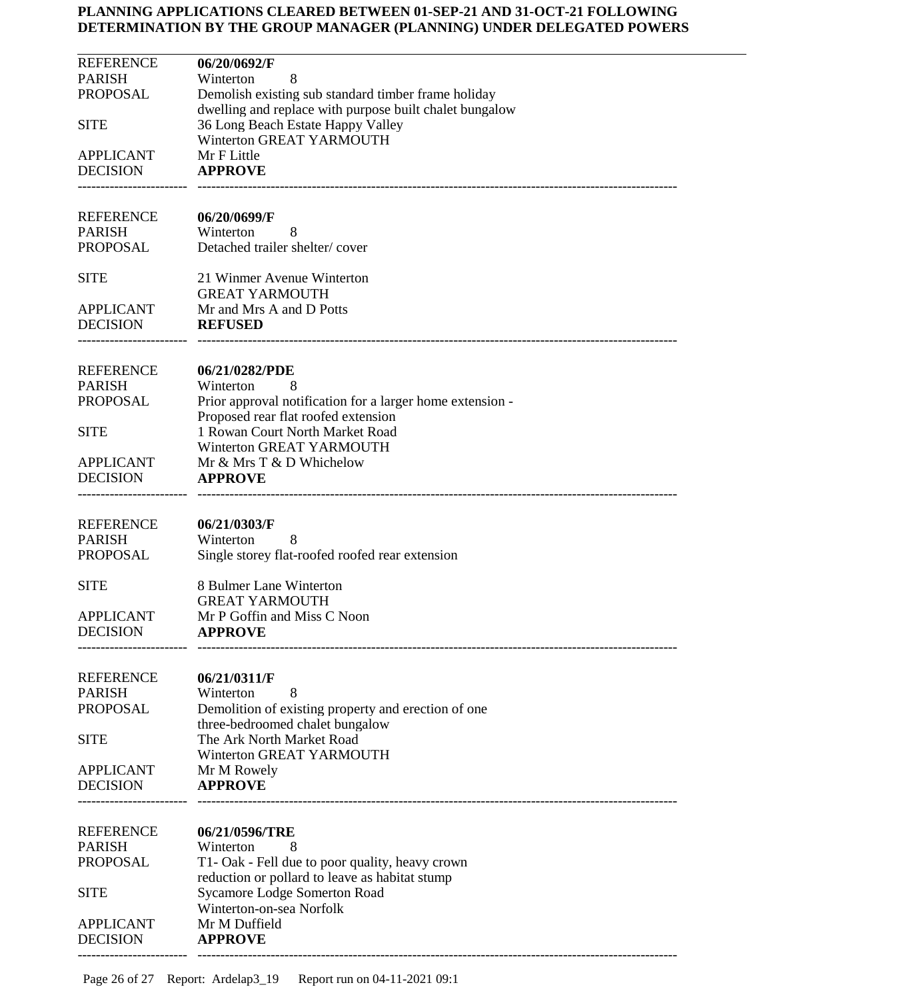| <b>REFERENCE</b>                    | 06/20/0692/F                                                                                                   |
|-------------------------------------|----------------------------------------------------------------------------------------------------------------|
| <b>PARISH</b>                       | Winterton<br>8                                                                                                 |
| <b>PROPOSAL</b>                     | Demolish existing sub standard timber frame holiday<br>dwelling and replace with purpose built chalet bungalow |
| <b>SITE</b>                         | 36 Long Beach Estate Happy Valley                                                                              |
|                                     | Winterton GREAT YARMOUTH                                                                                       |
| <b>APPLICANT</b>                    | Mr F Little                                                                                                    |
| <b>DECISION</b>                     | <b>APPROVE</b>                                                                                                 |
|                                     |                                                                                                                |
| <b>REFERENCE</b>                    | 06/20/0699/F                                                                                                   |
| <b>PARISH</b>                       | Winterton<br>8                                                                                                 |
| <b>PROPOSAL</b>                     | Detached trailer shelter/cover                                                                                 |
|                                     |                                                                                                                |
| <b>SITE</b>                         | 21 Winmer Avenue Winterton<br><b>GREAT YARMOUTH</b>                                                            |
| <b>APPLICANT</b>                    | Mr and Mrs A and D Potts                                                                                       |
| <b>DECISION</b>                     | <b>REFUSED</b>                                                                                                 |
|                                     |                                                                                                                |
| <b>REFERENCE</b>                    | 06/21/0282/PDE                                                                                                 |
| <b>PARISH</b>                       | Winterton<br>8                                                                                                 |
| <b>PROPOSAL</b>                     | Prior approval notification for a larger home extension -                                                      |
|                                     | Proposed rear flat roofed extension                                                                            |
| <b>SITE</b>                         | 1 Rowan Court North Market Road                                                                                |
|                                     | Winterton GREAT YARMOUTH                                                                                       |
| <b>APPLICANT</b><br><b>DECISION</b> | Mr & Mrs T & D Whichelow<br><b>APPROVE</b>                                                                     |
|                                     |                                                                                                                |
|                                     |                                                                                                                |
| <b>REFERENCE</b>                    | 06/21/0303/F                                                                                                   |
| <b>PARISH</b><br><b>PROPOSAL</b>    | Winterton<br>8<br>Single storey flat-roofed roofed rear extension                                              |
|                                     |                                                                                                                |
| <b>SITE</b>                         | 8 Bulmer Lane Winterton                                                                                        |
|                                     | <b>GREAT YARMOUTH</b>                                                                                          |
| <b>APPLICANT</b><br><b>DECISION</b> | Mr P Goffin and Miss C Noon                                                                                    |
|                                     | <b>APPROVE</b>                                                                                                 |
|                                     |                                                                                                                |
| <b>REFERENCE</b>                    | 06/21/0311/F                                                                                                   |
| <b>PARISH</b>                       | Winterton<br>8                                                                                                 |
| <b>PROPOSAL</b>                     | Demolition of existing property and erection of one<br>three-bedroomed chalet bungalow                         |
| <b>SITE</b>                         | The Ark North Market Road                                                                                      |
|                                     | Winterton GREAT YARMOUTH                                                                                       |
| <b>APPLICANT</b>                    | Mr M Rowely                                                                                                    |
| <b>DECISION</b>                     | <b>APPROVE</b>                                                                                                 |
|                                     |                                                                                                                |
| <b>REFERENCE</b>                    | 06/21/0596/TRE                                                                                                 |
| <b>PARISH</b>                       | Winterton<br>8                                                                                                 |
| <b>PROPOSAL</b>                     | T1- Oak - Fell due to poor quality, heavy crown                                                                |
|                                     | reduction or pollard to leave as habitat stump                                                                 |
| <b>SITE</b>                         | <b>Sycamore Lodge Somerton Road</b><br>Winterton-on-sea Norfolk                                                |
| <b>APPLICANT</b>                    | Mr M Duffield                                                                                                  |
| <b>DECISION</b>                     | <b>APPROVE</b>                                                                                                 |
|                                     |                                                                                                                |